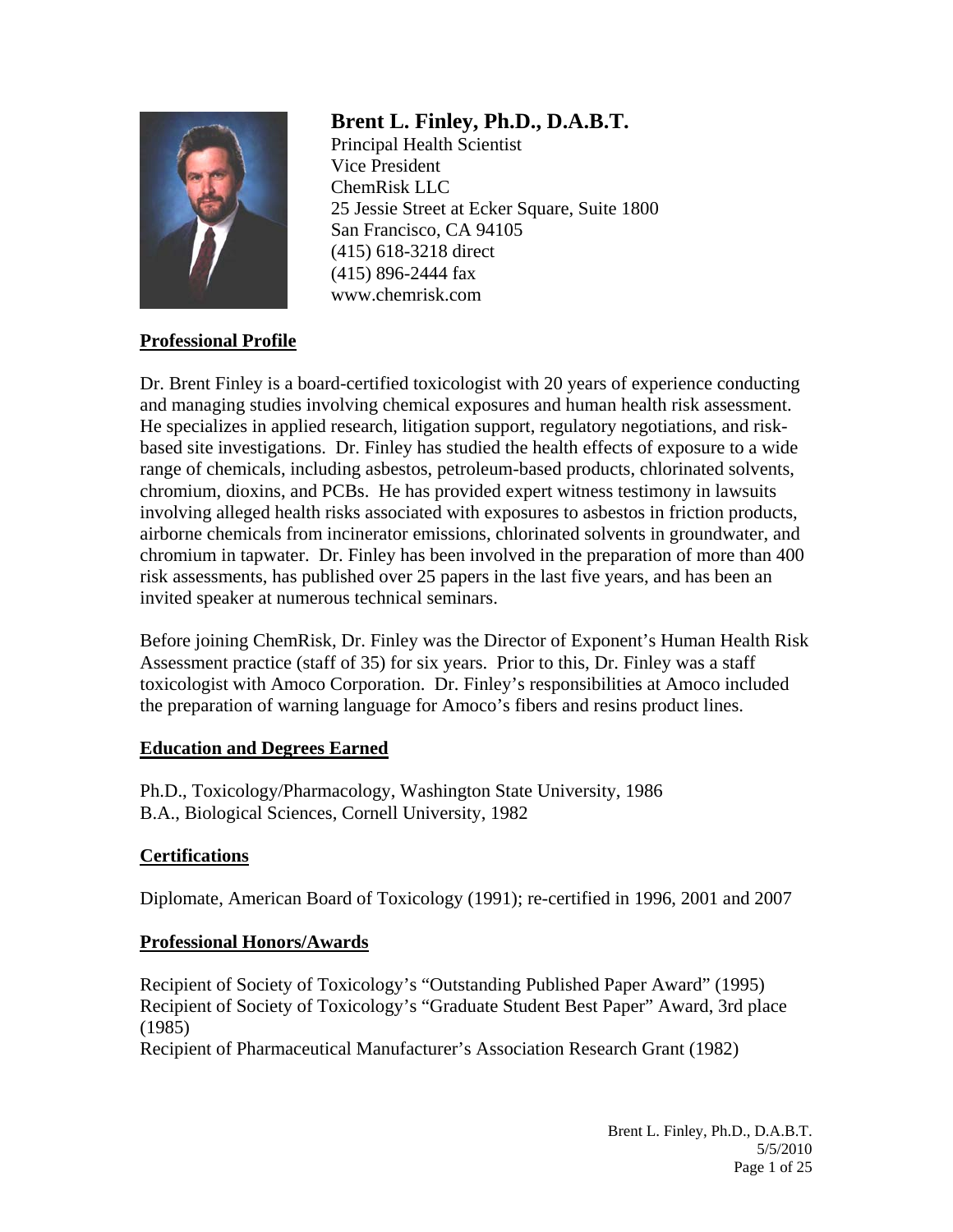

# **Brent L. Finley, Ph.D., D.A.B.T.**

Principal Health Scientist Vice President ChemRisk LLC 25 Jessie Street at Ecker Square, Suite 1800 San Francisco, CA 94105 (415) 618-3218 direct (415) 896-2444 fax www.chemrisk.com

### **Professional Profile**

Dr. Brent Finley is a board-certified toxicologist with 20 years of experience conducting and managing studies involving chemical exposures and human health risk assessment. He specializes in applied research, litigation support, regulatory negotiations, and riskbased site investigations. Dr. Finley has studied the health effects of exposure to a wide range of chemicals, including asbestos, petroleum-based products, chlorinated solvents, chromium, dioxins, and PCBs. He has provided expert witness testimony in lawsuits involving alleged health risks associated with exposures to asbestos in friction products, airborne chemicals from incinerator emissions, chlorinated solvents in groundwater, and chromium in tapwater. Dr. Finley has been involved in the preparation of more than 400 risk assessments, has published over 25 papers in the last five years, and has been an invited speaker at numerous technical seminars.

Before joining ChemRisk, Dr. Finley was the Director of Exponent's Human Health Risk Assessment practice (staff of 35) for six years. Prior to this, Dr. Finley was a staff toxicologist with Amoco Corporation. Dr. Finley's responsibilities at Amoco included the preparation of warning language for Amoco's fibers and resins product lines.

# **Education and Degrees Earned**

Ph.D., Toxicology/Pharmacology, Washington State University, 1986 B.A., Biological Sciences, Cornell University, 1982

# **Certifications**

Diplomate, American Board of Toxicology (1991); re-certified in 1996, 2001 and 2007

# **Professional Honors/Awards**

Recipient of Society of Toxicology's "Outstanding Published Paper Award" (1995) Recipient of Society of Toxicology's "Graduate Student Best Paper" Award, 3rd place (1985) Recipient of Pharmaceutical Manufacturer's Association Research Grant (1982)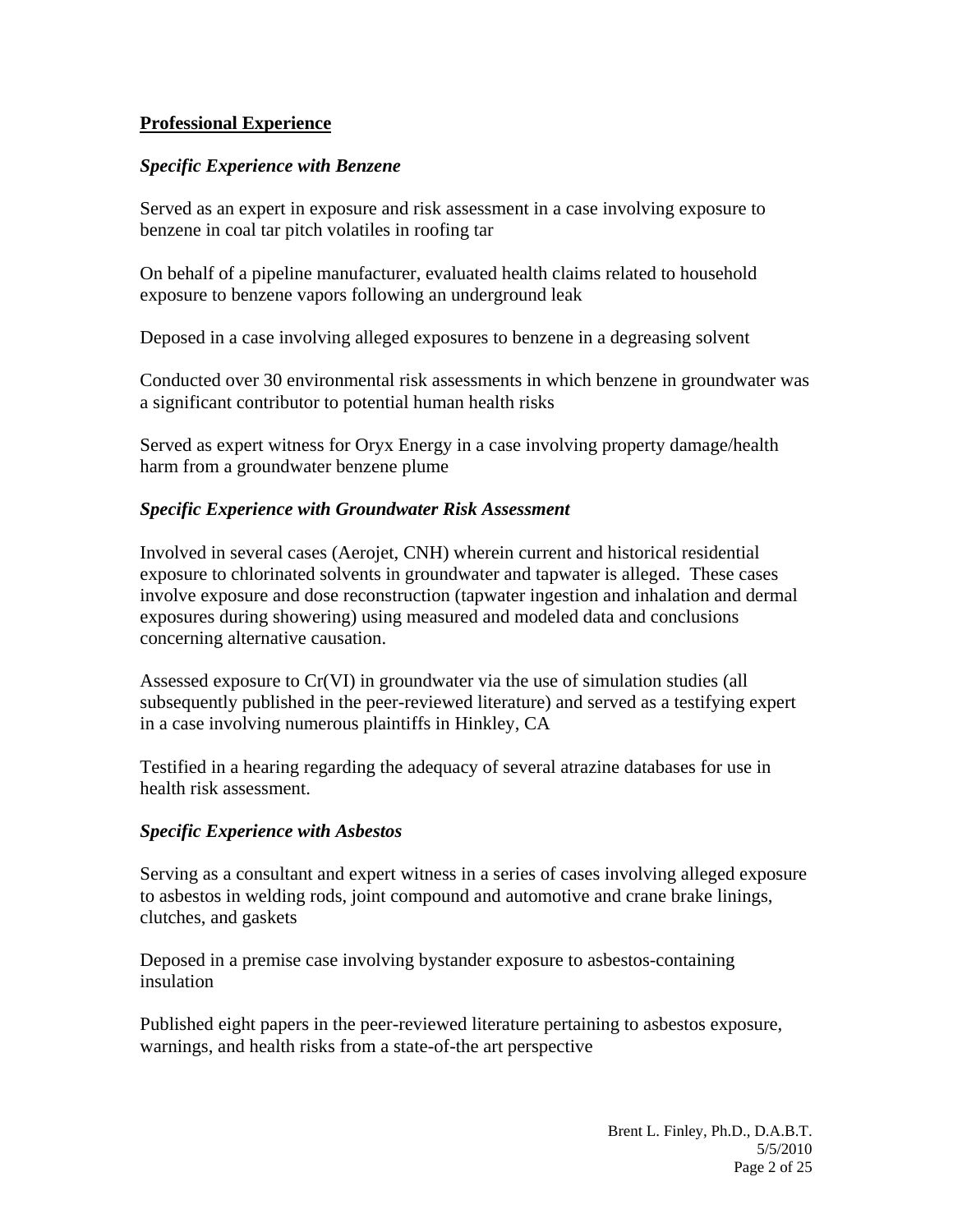### **Professional Experience**

#### *Specific Experience with Benzene*

Served as an expert in exposure and risk assessment in a case involving exposure to benzene in coal tar pitch volatiles in roofing tar

On behalf of a pipeline manufacturer, evaluated health claims related to household exposure to benzene vapors following an underground leak

Deposed in a case involving alleged exposures to benzene in a degreasing solvent

Conducted over 30 environmental risk assessments in which benzene in groundwater was a significant contributor to potential human health risks

Served as expert witness for Oryx Energy in a case involving property damage/health harm from a groundwater benzene plume

#### *Specific Experience with Groundwater Risk Assessment*

Involved in several cases (Aerojet, CNH) wherein current and historical residential exposure to chlorinated solvents in groundwater and tapwater is alleged. These cases involve exposure and dose reconstruction (tapwater ingestion and inhalation and dermal exposures during showering) using measured and modeled data and conclusions concerning alternative causation.

Assessed exposure to Cr(VI) in groundwater via the use of simulation studies (all subsequently published in the peer-reviewed literature) and served as a testifying expert in a case involving numerous plaintiffs in Hinkley, CA

Testified in a hearing regarding the adequacy of several atrazine databases for use in health risk assessment.

#### *Specific Experience with Asbestos*

Serving as a consultant and expert witness in a series of cases involving alleged exposure to asbestos in welding rods, joint compound and automotive and crane brake linings, clutches, and gaskets

Deposed in a premise case involving bystander exposure to asbestos-containing insulation

Published eight papers in the peer-reviewed literature pertaining to asbestos exposure, warnings, and health risks from a state-of-the art perspective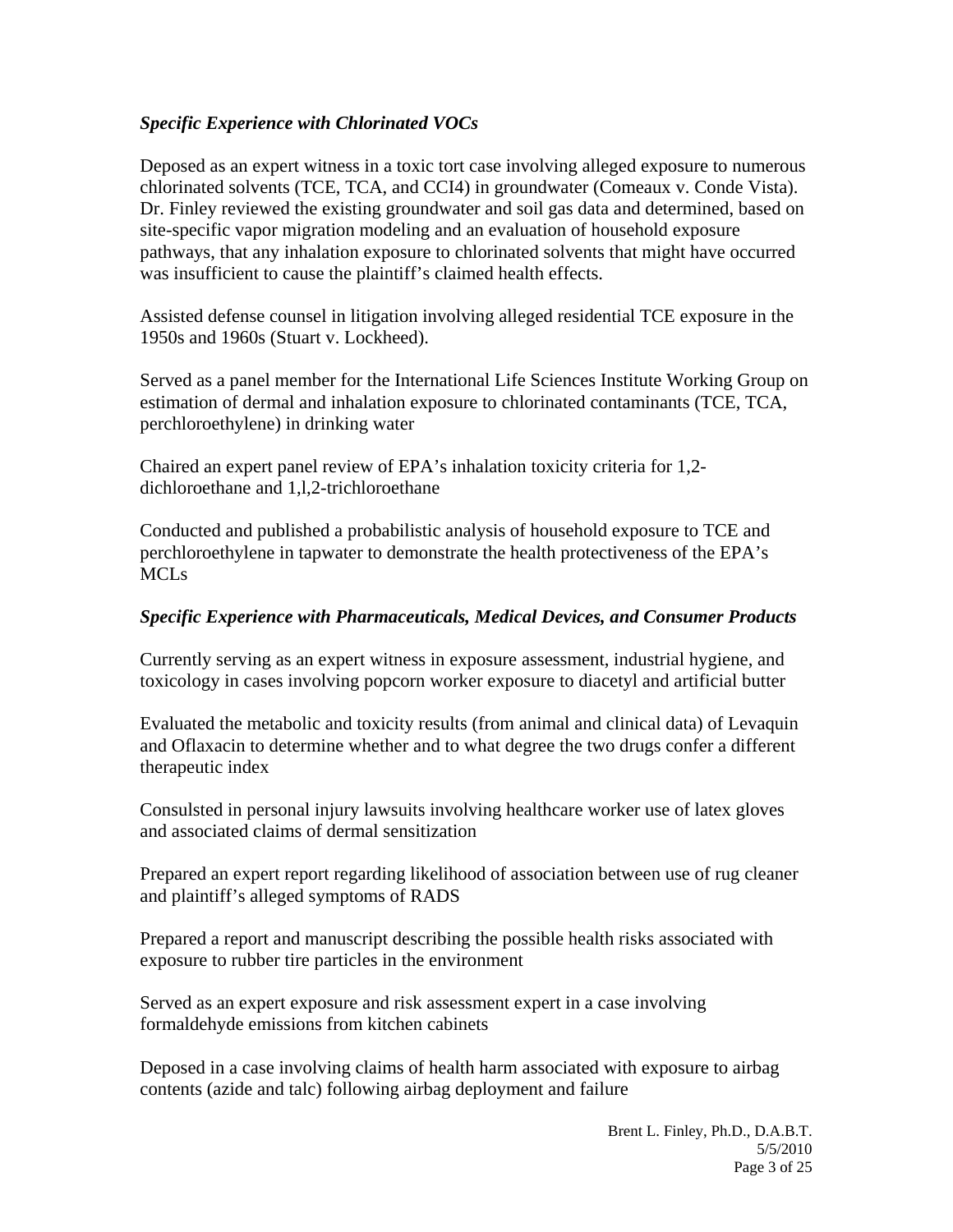### *Specific Experience with Chlorinated VOCs*

Deposed as an expert witness in a toxic tort case involving alleged exposure to numerous chlorinated solvents (TCE, TCA, and CCI4) in groundwater (Comeaux v. Conde Vista). Dr. Finley reviewed the existing groundwater and soil gas data and determined, based on site-specific vapor migration modeling and an evaluation of household exposure pathways, that any inhalation exposure to chlorinated solvents that might have occurred was insufficient to cause the plaintiff's claimed health effects.

Assisted defense counsel in litigation involving alleged residential TCE exposure in the 1950s and 1960s (Stuart v. Lockheed).

Served as a panel member for the International Life Sciences Institute Working Group on estimation of dermal and inhalation exposure to chlorinated contaminants (TCE, TCA, perchloroethylene) in drinking water

Chaired an expert panel review of EPA's inhalation toxicity criteria for 1,2 dichloroethane and 1,l,2-trichloroethane

Conducted and published a probabilistic analysis of household exposure to TCE and perchloroethylene in tapwater to demonstrate the health protectiveness of the EPA's **MCLs** 

### *Specific Experience with Pharmaceuticals, Medical Devices, and Consumer Products*

Currently serving as an expert witness in exposure assessment, industrial hygiene, and toxicology in cases involving popcorn worker exposure to diacetyl and artificial butter

Evaluated the metabolic and toxicity results (from animal and clinical data) of Levaquin and Oflaxacin to determine whether and to what degree the two drugs confer a different therapeutic index

Consulsted in personal injury lawsuits involving healthcare worker use of latex gloves and associated claims of dermal sensitization

Prepared an expert report regarding likelihood of association between use of rug cleaner and plaintiff's alleged symptoms of RADS

Prepared a report and manuscript describing the possible health risks associated with exposure to rubber tire particles in the environment

Served as an expert exposure and risk assessment expert in a case involving formaldehyde emissions from kitchen cabinets

Deposed in a case involving claims of health harm associated with exposure to airbag contents (azide and talc) following airbag deployment and failure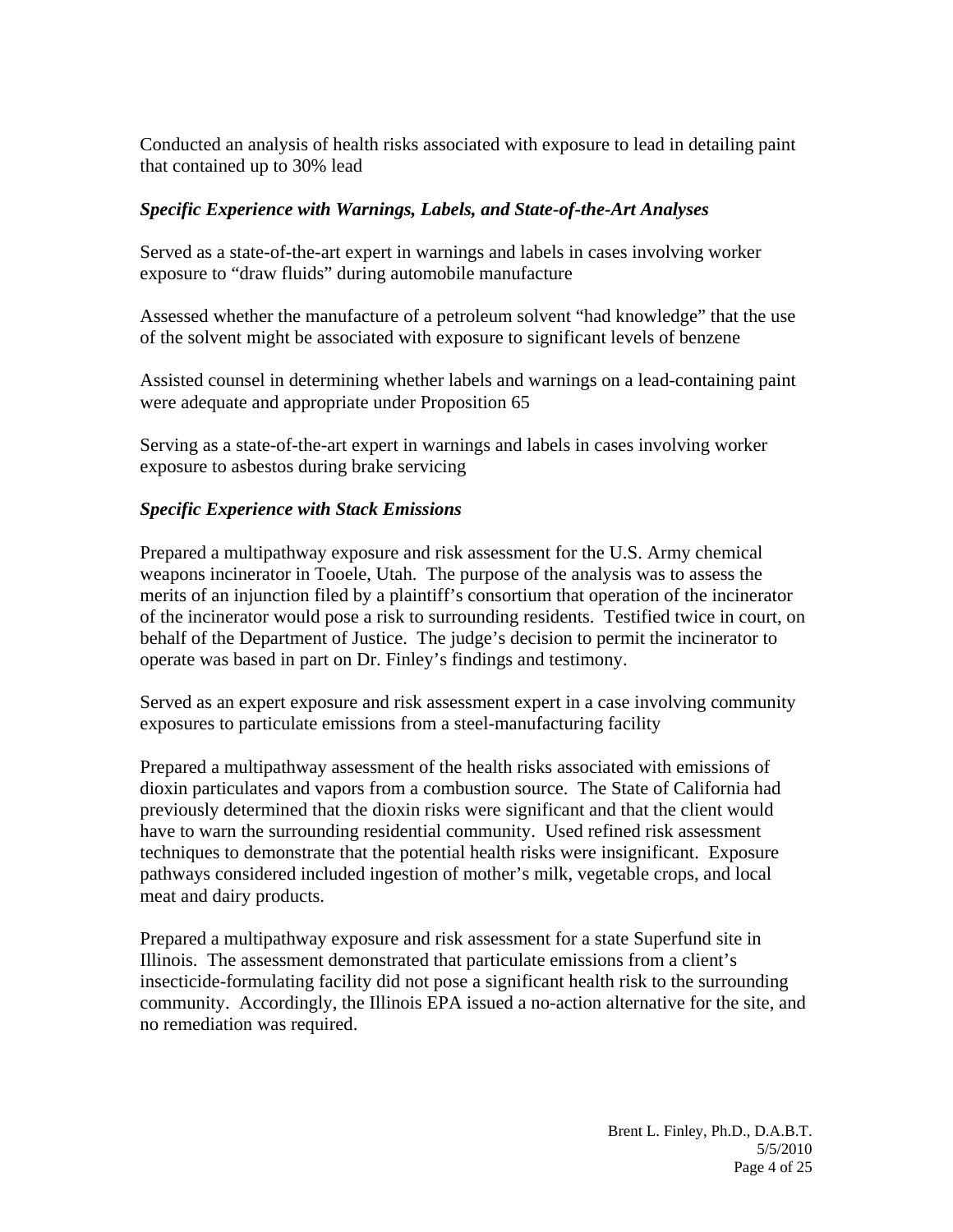Conducted an analysis of health risks associated with exposure to lead in detailing paint that contained up to 30% lead

### *Specific Experience with Warnings, Labels, and State-of-the-Art Analyses*

Served as a state-of-the-art expert in warnings and labels in cases involving worker exposure to "draw fluids" during automobile manufacture

Assessed whether the manufacture of a petroleum solvent "had knowledge" that the use of the solvent might be associated with exposure to significant levels of benzene

Assisted counsel in determining whether labels and warnings on a lead-containing paint were adequate and appropriate under Proposition 65

Serving as a state-of-the-art expert in warnings and labels in cases involving worker exposure to asbestos during brake servicing

# *Specific Experience with Stack Emissions*

Prepared a multipathway exposure and risk assessment for the U.S. Army chemical weapons incinerator in Tooele, Utah. The purpose of the analysis was to assess the merits of an injunction filed by a plaintiff's consortium that operation of the incinerator of the incinerator would pose a risk to surrounding residents. Testified twice in court, on behalf of the Department of Justice. The judge's decision to permit the incinerator to operate was based in part on Dr. Finley's findings and testimony.

Served as an expert exposure and risk assessment expert in a case involving community exposures to particulate emissions from a steel-manufacturing facility

Prepared a multipathway assessment of the health risks associated with emissions of dioxin particulates and vapors from a combustion source. The State of California had previously determined that the dioxin risks were significant and that the client would have to warn the surrounding residential community. Used refined risk assessment techniques to demonstrate that the potential health risks were insignificant. Exposure pathways considered included ingestion of mother's milk, vegetable crops, and local meat and dairy products.

Prepared a multipathway exposure and risk assessment for a state Superfund site in Illinois. The assessment demonstrated that particulate emissions from a client's insecticide-formulating facility did not pose a significant health risk to the surrounding community. Accordingly, the Illinois EPA issued a no-action alternative for the site, and no remediation was required.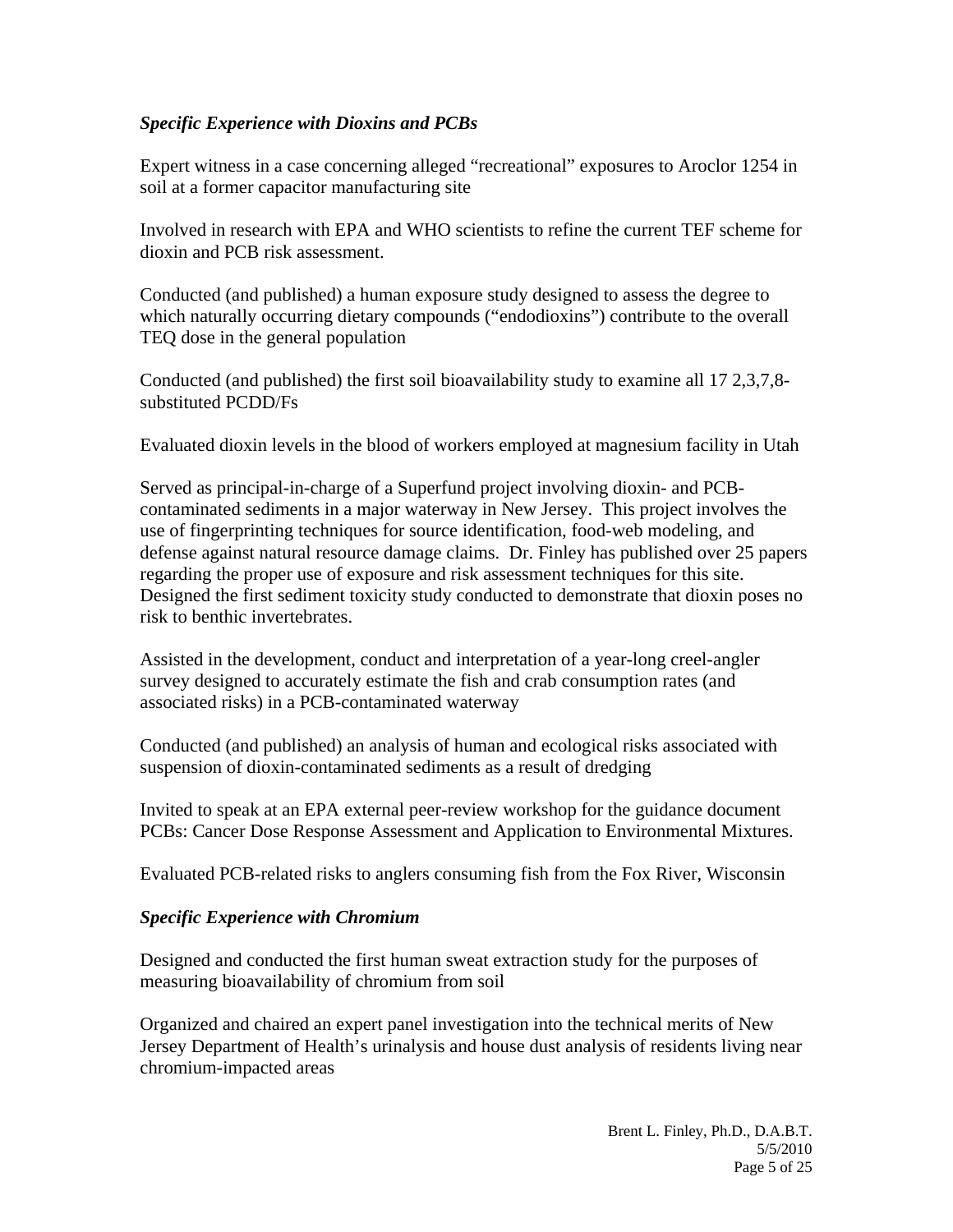### *Specific Experience with Dioxins and PCBs*

Expert witness in a case concerning alleged "recreational" exposures to Aroclor 1254 in soil at a former capacitor manufacturing site

Involved in research with EPA and WHO scientists to refine the current TEF scheme for dioxin and PCB risk assessment.

Conducted (and published) a human exposure study designed to assess the degree to which naturally occurring dietary compounds ("endodioxins") contribute to the overall TEQ dose in the general population

Conducted (and published) the first soil bioavailability study to examine all 17 2,3,7,8 substituted PCDD/Fs

Evaluated dioxin levels in the blood of workers employed at magnesium facility in Utah

Served as principal-in-charge of a Superfund project involving dioxin- and PCBcontaminated sediments in a major waterway in New Jersey. This project involves the use of fingerprinting techniques for source identification, food-web modeling, and defense against natural resource damage claims. Dr. Finley has published over 25 papers regarding the proper use of exposure and risk assessment techniques for this site. Designed the first sediment toxicity study conducted to demonstrate that dioxin poses no risk to benthic invertebrates.

Assisted in the development, conduct and interpretation of a year-long creel-angler survey designed to accurately estimate the fish and crab consumption rates (and associated risks) in a PCB-contaminated waterway

Conducted (and published) an analysis of human and ecological risks associated with suspension of dioxin-contaminated sediments as a result of dredging

Invited to speak at an EPA external peer-review workshop for the guidance document PCBs: Cancer Dose Response Assessment and Application to Environmental Mixtures.

Evaluated PCB-related risks to anglers consuming fish from the Fox River, Wisconsin

### *Specific Experience with Chromium*

Designed and conducted the first human sweat extraction study for the purposes of measuring bioavailability of chromium from soil

Organized and chaired an expert panel investigation into the technical merits of New Jersey Department of Health's urinalysis and house dust analysis of residents living near chromium-impacted areas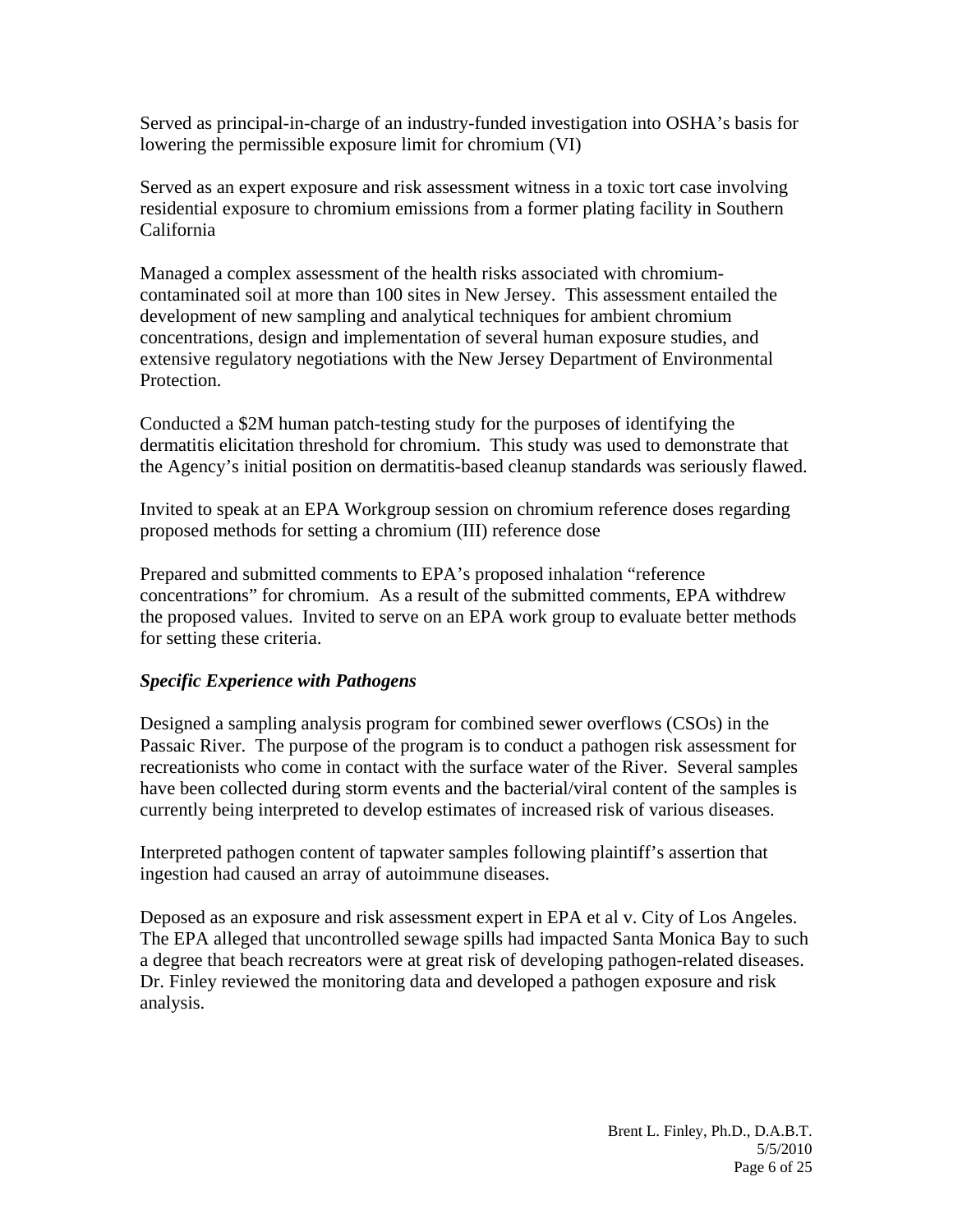Served as principal-in-charge of an industry-funded investigation into OSHA's basis for lowering the permissible exposure limit for chromium (VI)

Served as an expert exposure and risk assessment witness in a toxic tort case involving residential exposure to chromium emissions from a former plating facility in Southern California

Managed a complex assessment of the health risks associated with chromiumcontaminated soil at more than 100 sites in New Jersey. This assessment entailed the development of new sampling and analytical techniques for ambient chromium concentrations, design and implementation of several human exposure studies, and extensive regulatory negotiations with the New Jersey Department of Environmental Protection.

Conducted a \$2M human patch-testing study for the purposes of identifying the dermatitis elicitation threshold for chromium. This study was used to demonstrate that the Agency's initial position on dermatitis-based cleanup standards was seriously flawed.

Invited to speak at an EPA Workgroup session on chromium reference doses regarding proposed methods for setting a chromium (III) reference dose

Prepared and submitted comments to EPA's proposed inhalation "reference concentrations" for chromium. As a result of the submitted comments, EPA withdrew the proposed values. Invited to serve on an EPA work group to evaluate better methods for setting these criteria.

### *Specific Experience with Pathogens*

Designed a sampling analysis program for combined sewer overflows (CSOs) in the Passaic River. The purpose of the program is to conduct a pathogen risk assessment for recreationists who come in contact with the surface water of the River. Several samples have been collected during storm events and the bacterial/viral content of the samples is currently being interpreted to develop estimates of increased risk of various diseases.

Interpreted pathogen content of tapwater samples following plaintiff's assertion that ingestion had caused an array of autoimmune diseases.

Deposed as an exposure and risk assessment expert in EPA et al v. City of Los Angeles. The EPA alleged that uncontrolled sewage spills had impacted Santa Monica Bay to such a degree that beach recreators were at great risk of developing pathogen-related diseases. Dr. Finley reviewed the monitoring data and developed a pathogen exposure and risk analysis.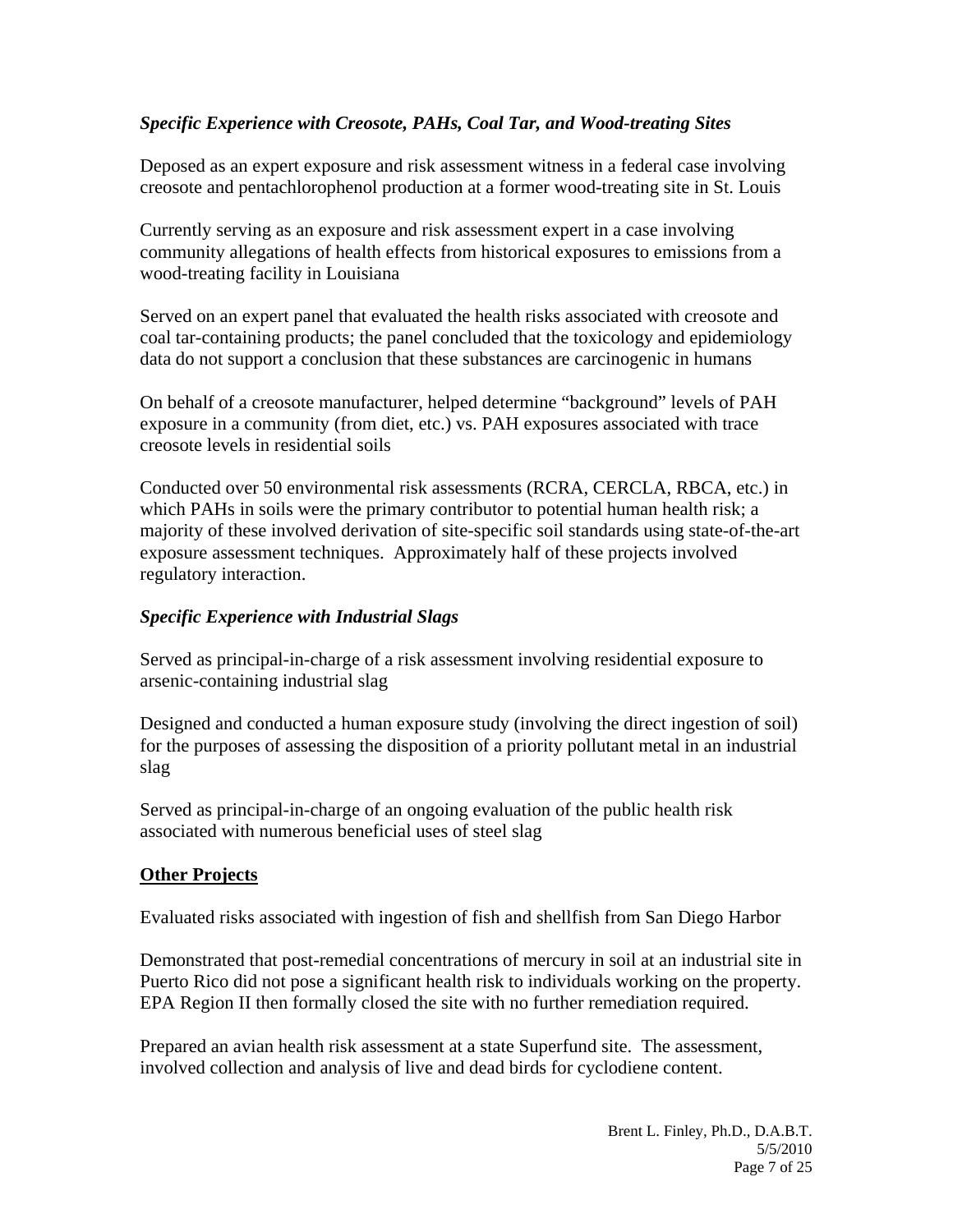### *Specific Experience with Creosote, PAHs, Coal Tar, and Wood-treating Sites*

Deposed as an expert exposure and risk assessment witness in a federal case involving creosote and pentachlorophenol production at a former wood-treating site in St. Louis

Currently serving as an exposure and risk assessment expert in a case involving community allegations of health effects from historical exposures to emissions from a wood-treating facility in Louisiana

Served on an expert panel that evaluated the health risks associated with creosote and coal tar-containing products; the panel concluded that the toxicology and epidemiology data do not support a conclusion that these substances are carcinogenic in humans

On behalf of a creosote manufacturer, helped determine "background" levels of PAH exposure in a community (from diet, etc.) vs. PAH exposures associated with trace creosote levels in residential soils

Conducted over 50 environmental risk assessments (RCRA, CERCLA, RBCA, etc.) in which PAHs in soils were the primary contributor to potential human health risk; a majority of these involved derivation of site-specific soil standards using state-of-the-art exposure assessment techniques. Approximately half of these projects involved regulatory interaction.

### *Specific Experience with Industrial Slags*

Served as principal-in-charge of a risk assessment involving residential exposure to arsenic-containing industrial slag

Designed and conducted a human exposure study (involving the direct ingestion of soil) for the purposes of assessing the disposition of a priority pollutant metal in an industrial slag

Served as principal-in-charge of an ongoing evaluation of the public health risk associated with numerous beneficial uses of steel slag

#### **Other Projects**

Evaluated risks associated with ingestion of fish and shellfish from San Diego Harbor

Demonstrated that post-remedial concentrations of mercury in soil at an industrial site in Puerto Rico did not pose a significant health risk to individuals working on the property. EPA Region II then formally closed the site with no further remediation required.

Prepared an avian health risk assessment at a state Superfund site. The assessment, involved collection and analysis of live and dead birds for cyclodiene content.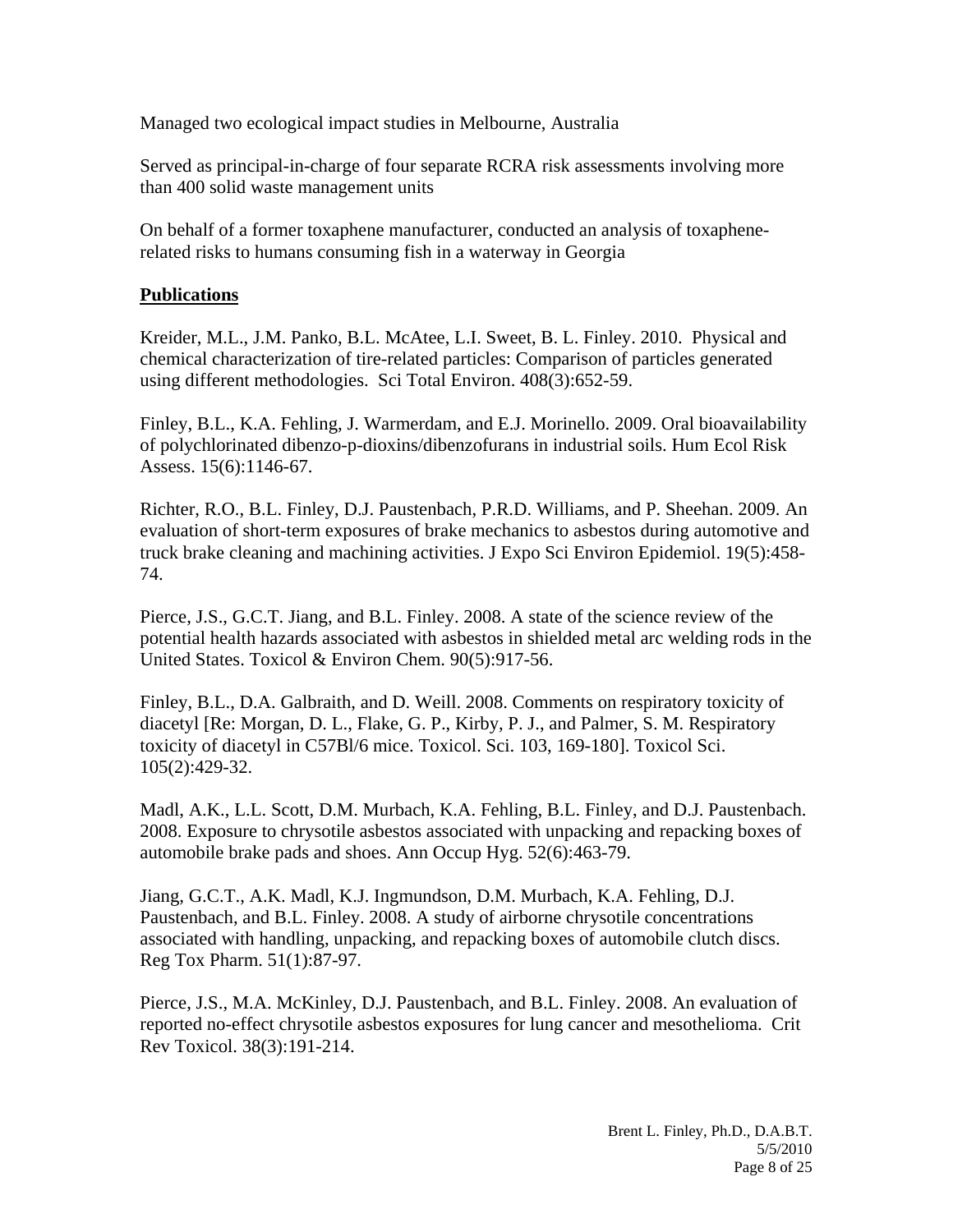Managed two ecological impact studies in Melbourne, Australia

Served as principal-in-charge of four separate RCRA risk assessments involving more than 400 solid waste management units

On behalf of a former toxaphene manufacturer, conducted an analysis of toxaphenerelated risks to humans consuming fish in a waterway in Georgia

#### **Publications**

Kreider, M.L., J.M. Panko, B.L. McAtee, L.I. Sweet, B. L. Finley. 2010. Physical and chemical characterization of tire-related particles: Comparison of particles generated using different methodologies. Sci Total Environ. 408(3):652-59.

Finley, B.L., K.A. Fehling, J. Warmerdam, and E.J. Morinello. 2009. Oral bioavailability of polychlorinated dibenzo-p-dioxins/dibenzofurans in industrial soils. Hum Ecol Risk Assess. 15(6):1146-67.

Richter, R.O., B.L. Finley, D.J. Paustenbach, P.R.D. Williams, and P. Sheehan. 2009. An evaluation of short-term exposures of brake mechanics to asbestos during automotive and truck brake cleaning and machining activities. J Expo Sci Environ Epidemiol. 19(5):458- 74.

Pierce, J.S., G.C.T. Jiang, and B.L. Finley. 2008. A state of the science review of the potential health hazards associated with asbestos in shielded metal arc welding rods in the United States. Toxicol & Environ Chem. 90(5):917-56.

Finley, B.L., D.A. Galbraith, and D. Weill. 2008. Comments on respiratory toxicity of diacetyl [Re: Morgan, D. L., Flake, G. P., Kirby, P. J., and Palmer, S. M. Respiratory toxicity of diacetyl in C57Bl/6 mice. Toxicol. Sci. 103, 169-180]. Toxicol Sci. 105(2):429-32.

Madl, A.K., L.L. Scott, D.M. Murbach, K.A. Fehling, B.L. Finley, and D.J. Paustenbach. 2008. Exposure to chrysotile asbestos associated with unpacking and repacking boxes of automobile brake pads and shoes. Ann Occup Hyg. 52(6):463-79.

Jiang, G.C.T., A.K. Madl, K.J. Ingmundson, D.M. Murbach, K.A. Fehling, D.J. Paustenbach, and B.L. Finley. 2008. A study of airborne chrysotile concentrations associated with handling, unpacking, and repacking boxes of automobile clutch discs. Reg Tox Pharm. 51(1):87-97.

Pierce, J.S., M.A. McKinley, D.J. Paustenbach, and B.L. Finley. 2008. An evaluation of reported no-effect chrysotile asbestos exposures for lung cancer and mesothelioma. Crit Rev Toxicol. 38(3):191-214.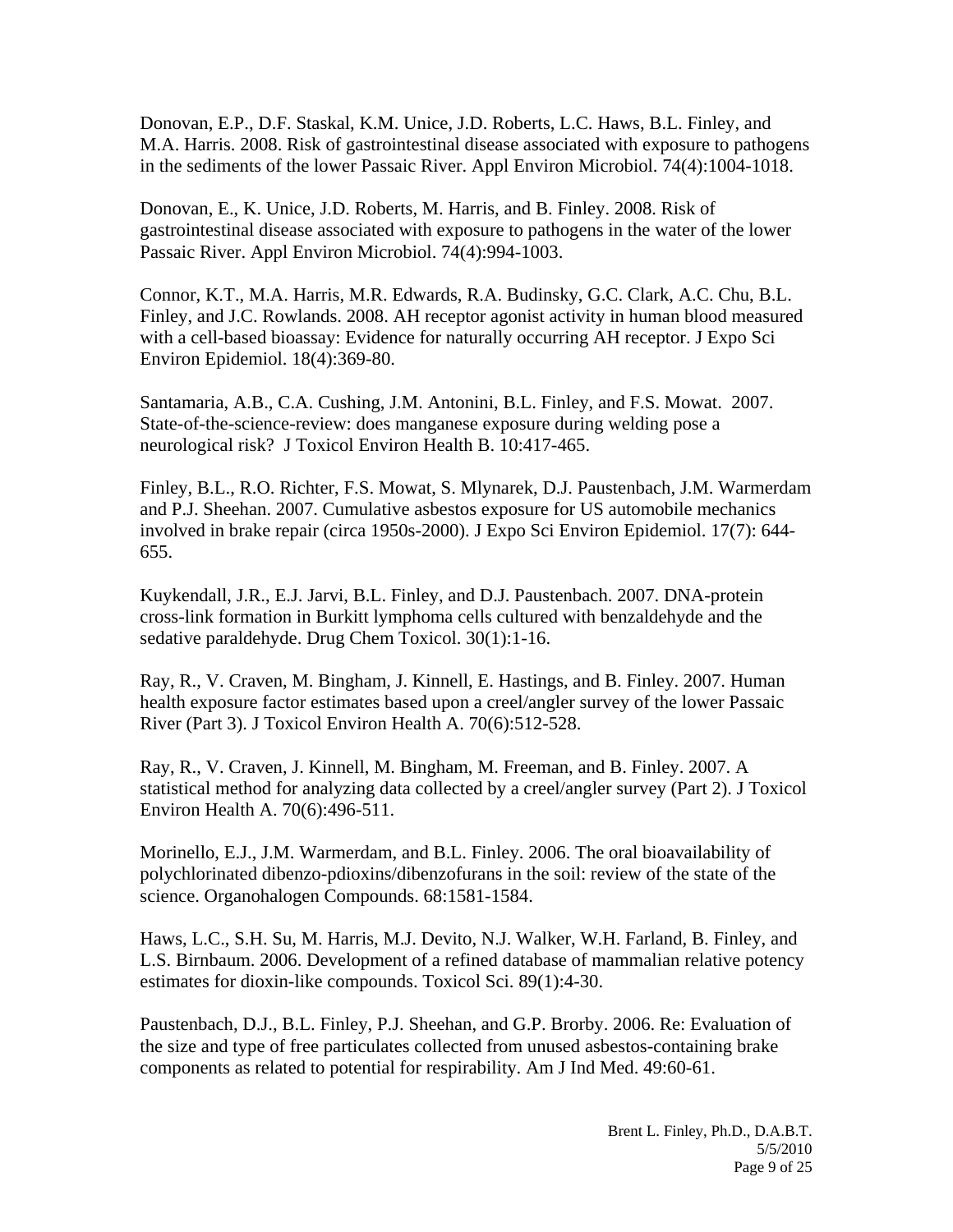Donovan, E.P., D.F. Staskal, K.M. Unice, J.D. Roberts, L.C. Haws, B.L. Finley, and M.A. Harris. 2008. Risk of gastrointestinal disease associated with exposure to pathogens in the sediments of the lower Passaic River. Appl Environ Microbiol. 74(4):1004-1018.

Donovan, E., K. Unice, J.D. Roberts, M. Harris, and B. Finley. 2008. Risk of gastrointestinal disease associated with exposure to pathogens in the water of the lower Passaic River. Appl Environ Microbiol. 74(4):994-1003.

Connor, K.T., M.A. Harris, M.R. Edwards, R.A. Budinsky, G.C. Clark, A.C. Chu, B.L. Finley, and J.C. Rowlands. 2008. AH receptor agonist activity in human blood measured with a cell-based bioassay: Evidence for naturally occurring AH receptor. J Expo Sci Environ Epidemiol. 18(4):369-80.

Santamaria, A.B., C.A. Cushing, J.M. Antonini, B.L. Finley, and F.S. Mowat. 2007. State-of-the-science-review: does manganese exposure during welding pose a neurological risk? J Toxicol Environ Health B. 10:417-465.

Finley, B.L., R.O. Richter, F.S. Mowat, S. Mlynarek, D.J. Paustenbach, J.M. Warmerdam and P.J. Sheehan. 2007. Cumulative asbestos exposure for US automobile mechanics involved in brake repair (circa 1950s-2000). J Expo Sci Environ Epidemiol. 17(7): 644- 655.

Kuykendall, J.R., E.J. Jarvi, B.L. Finley, and D.J. Paustenbach. 2007. DNA-protein cross-link formation in Burkitt lymphoma cells cultured with benzaldehyde and the sedative paraldehyde. Drug Chem Toxicol. 30(1):1-16.

Ray, R., V. Craven, M. Bingham, J. Kinnell, E. Hastings, and B. Finley. 2007. Human health exposure factor estimates based upon a creel/angler survey of the lower Passaic River (Part 3). J Toxicol Environ Health A. 70(6):512-528.

Ray, R., V. Craven, J. Kinnell, M. Bingham, M. Freeman, and B. Finley. 2007. A statistical method for analyzing data collected by a creel/angler survey (Part 2). J Toxicol Environ Health A. 70(6):496-511.

Morinello, E.J., J.M. Warmerdam, and B.L. Finley. 2006. The oral bioavailability of polychlorinated dibenzo-pdioxins/dibenzofurans in the soil: review of the state of the science. Organohalogen Compounds. 68:1581-1584.

Haws, L.C., S.H. Su, M. Harris, M.J. Devito, N.J. Walker, W.H. Farland, B. Finley, and L.S. Birnbaum. 2006. Development of a refined database of mammalian relative potency estimates for dioxin-like compounds. Toxicol Sci. 89(1):4-30.

Paustenbach, D.J., B.L. Finley, P.J. Sheehan, and G.P. Brorby. 2006. Re: Evaluation of the size and type of free particulates collected from unused asbestos-containing brake components as related to potential for respirability. Am J Ind Med. 49:60-61.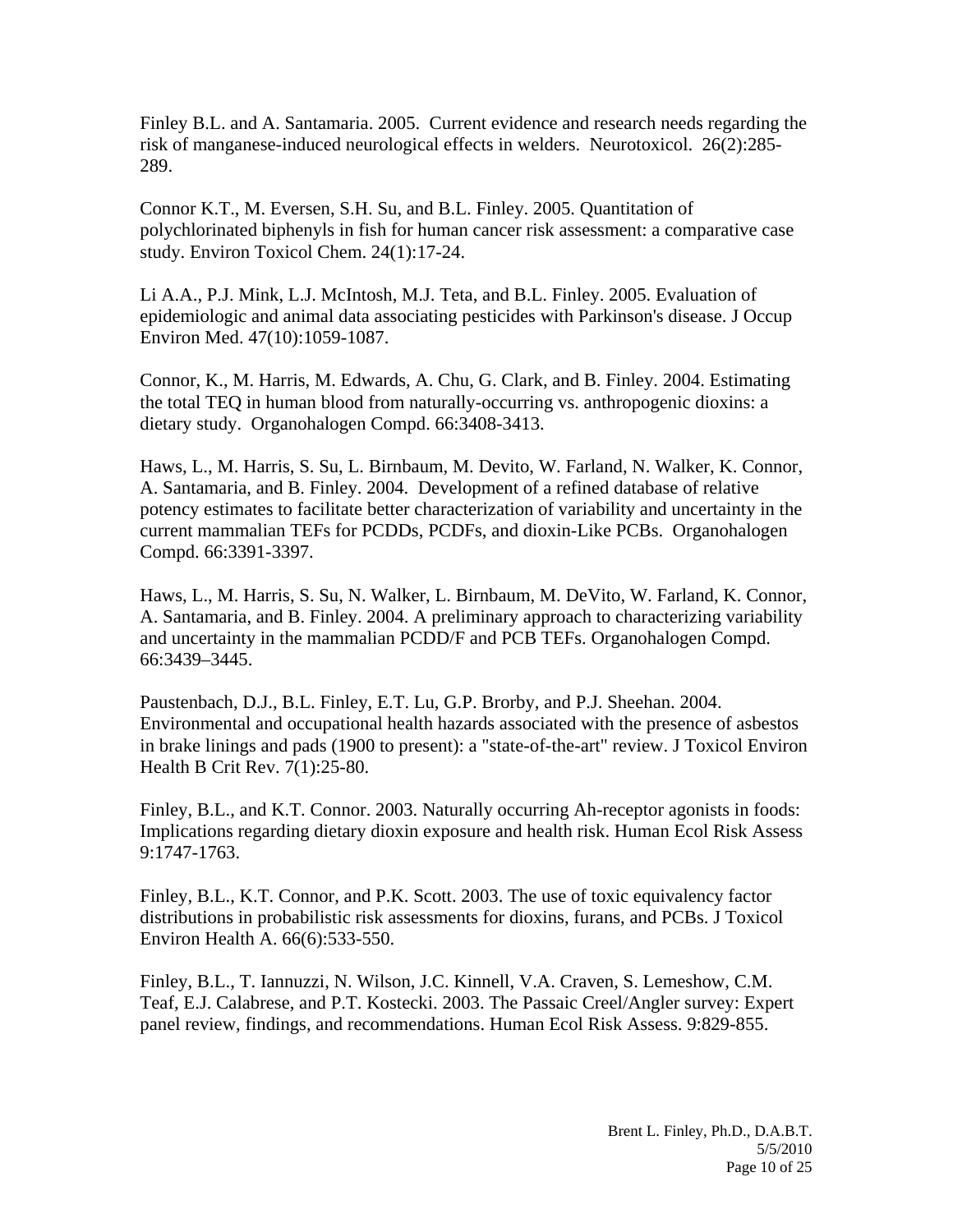Finley B.L. and A. Santamaria. 2005. Current evidence and research needs regarding the risk of manganese-induced neurological effects in welders. Neurotoxicol. 26(2):285- 289.

Connor K.T., M. Eversen, S.H. Su, and B.L. Finley. 2005. Quantitation of polychlorinated biphenyls in fish for human cancer risk assessment: a comparative case study. Environ Toxicol Chem. 24(1):17-24.

Li A.A., P.J. Mink, L.J. McIntosh, M.J. Teta, and B.L. Finley. 2005. Evaluation of epidemiologic and animal data associating pesticides with Parkinson's disease. J Occup Environ Med. 47(10):1059-1087.

Connor, K., M. Harris, M. Edwards, A. Chu, G. Clark, and B. Finley. 2004. Estimating the total TEQ in human blood from naturally-occurring vs. anthropogenic dioxins: a dietary study. Organohalogen Compd. 66:3408-3413.

Haws, L., M. Harris, S. Su, L. Birnbaum, M. Devito, W. Farland, N. Walker, K. Connor, A. Santamaria, and B. Finley. 2004. Development of a refined database of relative potency estimates to facilitate better characterization of variability and uncertainty in the current mammalian TEFs for PCDDs, PCDFs, and dioxin-Like PCBs. Organohalogen Compd. 66:3391-3397.

Haws, L., M. Harris, S. Su, N. Walker, L. Birnbaum, M. DeVito, W. Farland, K. Connor, A. Santamaria, and B. Finley. 2004. A preliminary approach to characterizing variability and uncertainty in the mammalian PCDD/F and PCB TEFs. Organohalogen Compd. 66:3439–3445.

Paustenbach, D.J., B.L. Finley, E.T. Lu, G.P. Brorby, and P.J. Sheehan. 2004. Environmental and occupational health hazards associated with the presence of asbestos in brake linings and pads (1900 to present): a "state-of-the-art" review. J Toxicol Environ Health B Crit Rev. 7(1):25-80.

Finley, B.L., and K.T. Connor. 2003. Naturally occurring Ah-receptor agonists in foods: Implications regarding dietary dioxin exposure and health risk. Human Ecol Risk Assess 9:1747-1763.

Finley, B.L., K.T. Connor, and P.K. Scott. 2003. The use of toxic equivalency factor distributions in probabilistic risk assessments for dioxins, furans, and PCBs. J Toxicol Environ Health A. 66(6):533-550.

Finley, B.L., T. Iannuzzi, N. Wilson, J.C. Kinnell, V.A. Craven, S. Lemeshow, C.M. Teaf, E.J. Calabrese, and P.T. Kostecki. 2003. The Passaic Creel/Angler survey: Expert panel review, findings, and recommendations. Human Ecol Risk Assess. 9:829-855.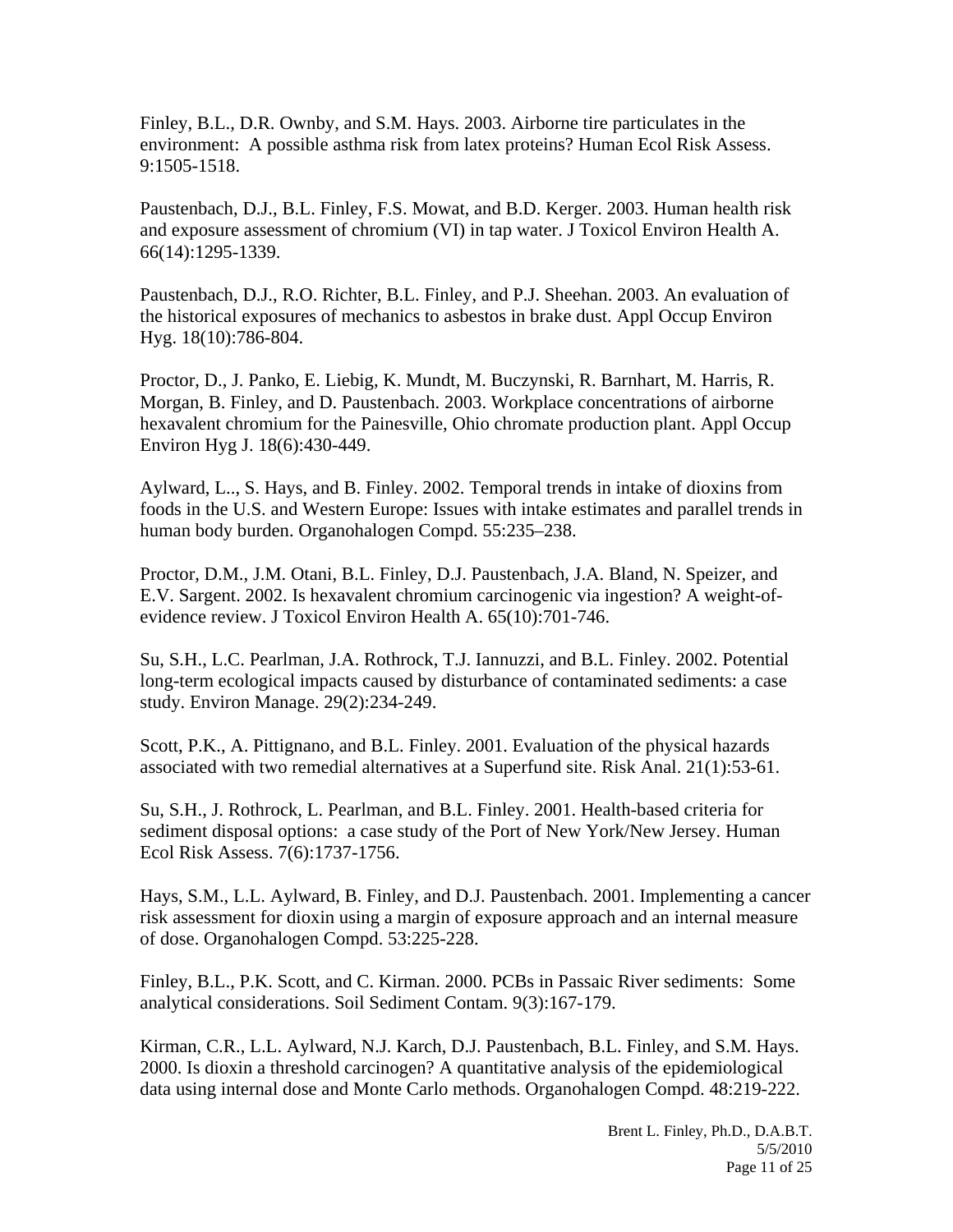Finley, B.L., D.R. Ownby, and S.M. Hays. 2003. Airborne tire particulates in the environment: A possible asthma risk from latex proteins? Human Ecol Risk Assess. 9:1505-1518.

Paustenbach, D.J., B.L. Finley, F.S. Mowat, and B.D. Kerger. 2003. Human health risk and exposure assessment of chromium (VI) in tap water. J Toxicol Environ Health A. 66(14):1295-1339.

Paustenbach, D.J., R.O. Richter, B.L. Finley, and P.J. Sheehan. 2003. An evaluation of the historical exposures of mechanics to asbestos in brake dust. Appl Occup Environ Hyg. 18(10):786-804.

Proctor, D., J. Panko, E. Liebig, K. Mundt, M. Buczynski, R. Barnhart, M. Harris, R. Morgan, B. Finley, and D. Paustenbach. 2003. Workplace concentrations of airborne hexavalent chromium for the Painesville, Ohio chromate production plant. Appl Occup Environ Hyg J. 18(6):430-449.

Aylward, L.., S. Hays, and B. Finley. 2002. Temporal trends in intake of dioxins from foods in the U.S. and Western Europe: Issues with intake estimates and parallel trends in human body burden. Organohalogen Compd. 55:235–238.

Proctor, D.M., J.M. Otani, B.L. Finley, D.J. Paustenbach, J.A. Bland, N. Speizer, and E.V. Sargent. 2002. Is hexavalent chromium carcinogenic via ingestion? A weight-ofevidence review. J Toxicol Environ Health A. 65(10):701-746.

Su, S.H., L.C. Pearlman, J.A. Rothrock, T.J. Iannuzzi, and B.L. Finley. 2002. Potential long-term ecological impacts caused by disturbance of contaminated sediments: a case study. Environ Manage. 29(2):234-249.

Scott, P.K., A. Pittignano, and B.L. Finley. 2001. Evaluation of the physical hazards associated with two remedial alternatives at a Superfund site. Risk Anal. 21(1):53-61.

Su, S.H., J. Rothrock, L. Pearlman, and B.L. Finley. 2001. Health-based criteria for sediment disposal options: a case study of the Port of New York/New Jersey. Human Ecol Risk Assess. 7(6):1737-1756.

Hays, S.M., L.L. Aylward, B. Finley, and D.J. Paustenbach. 2001. Implementing a cancer risk assessment for dioxin using a margin of exposure approach and an internal measure of dose. Organohalogen Compd. 53:225-228.

Finley, B.L., P.K. Scott, and C. Kirman. 2000. PCBs in Passaic River sediments: Some analytical considerations. Soil Sediment Contam. 9(3):167-179.

Kirman, C.R., L.L. Aylward, N.J. Karch, D.J. Paustenbach, B.L. Finley, and S.M. Hays. 2000. Is dioxin a threshold carcinogen? A quantitative analysis of the epidemiological data using internal dose and Monte Carlo methods. Organohalogen Compd. 48:219-222.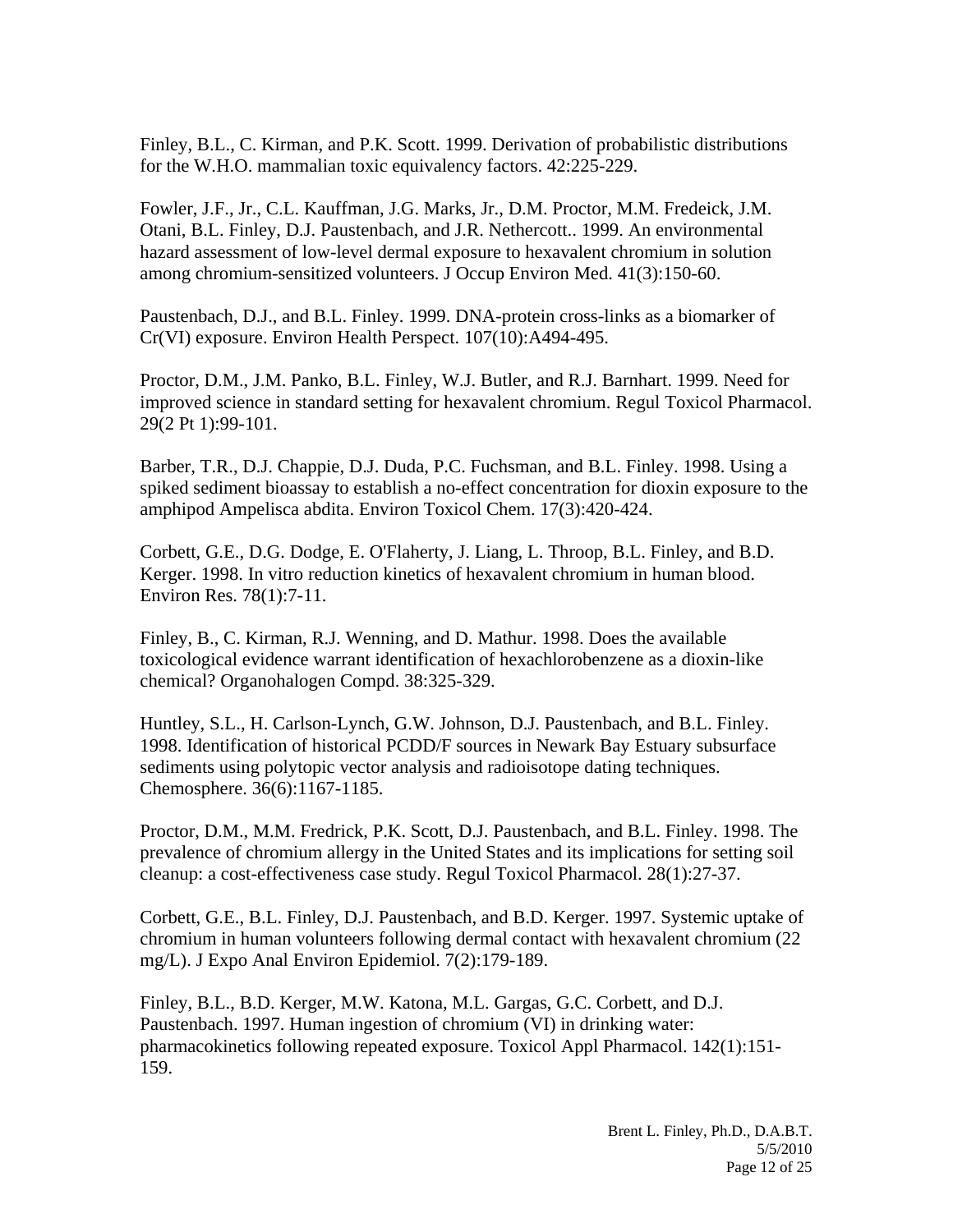Finley, B.L., C. Kirman, and P.K. Scott. 1999. Derivation of probabilistic distributions for the W.H.O. mammalian toxic equivalency factors. 42:225-229.

Fowler, J.F., Jr., C.L. Kauffman, J.G. Marks, Jr., D.M. Proctor, M.M. Fredeick, J.M. Otani, B.L. Finley, D.J. Paustenbach, and J.R. Nethercott.. 1999. An environmental hazard assessment of low-level dermal exposure to hexavalent chromium in solution among chromium-sensitized volunteers. J Occup Environ Med. 41(3):150-60.

Paustenbach, D.J., and B.L. Finley. 1999. DNA-protein cross-links as a biomarker of Cr(VI) exposure. Environ Health Perspect. 107(10):A494-495.

Proctor, D.M., J.M. Panko, B.L. Finley, W.J. Butler, and R.J. Barnhart. 1999. Need for improved science in standard setting for hexavalent chromium. Regul Toxicol Pharmacol. 29(2 Pt 1):99-101.

Barber, T.R., D.J. Chappie, D.J. Duda, P.C. Fuchsman, and B.L. Finley. 1998. Using a spiked sediment bioassay to establish a no-effect concentration for dioxin exposure to the amphipod Ampelisca abdita. Environ Toxicol Chem. 17(3):420-424.

Corbett, G.E., D.G. Dodge, E. O'Flaherty, J. Liang, L. Throop, B.L. Finley, and B.D. Kerger. 1998. In vitro reduction kinetics of hexavalent chromium in human blood. Environ Res. 78(1):7-11.

Finley, B., C. Kirman, R.J. Wenning, and D. Mathur. 1998. Does the available toxicological evidence warrant identification of hexachlorobenzene as a dioxin-like chemical? Organohalogen Compd. 38:325-329.

Huntley, S.L., H. Carlson-Lynch, G.W. Johnson, D.J. Paustenbach, and B.L. Finley. 1998. Identification of historical PCDD/F sources in Newark Bay Estuary subsurface sediments using polytopic vector analysis and radioisotope dating techniques. Chemosphere. 36(6):1167-1185.

Proctor, D.M., M.M. Fredrick, P.K. Scott, D.J. Paustenbach, and B.L. Finley. 1998. The prevalence of chromium allergy in the United States and its implications for setting soil cleanup: a cost-effectiveness case study. Regul Toxicol Pharmacol. 28(1):27-37.

Corbett, G.E., B.L. Finley, D.J. Paustenbach, and B.D. Kerger. 1997. Systemic uptake of chromium in human volunteers following dermal contact with hexavalent chromium (22 mg/L). J Expo Anal Environ Epidemiol. 7(2):179-189.

Finley, B.L., B.D. Kerger, M.W. Katona, M.L. Gargas, G.C. Corbett, and D.J. Paustenbach. 1997. Human ingestion of chromium (VI) in drinking water: pharmacokinetics following repeated exposure. Toxicol Appl Pharmacol. 142(1):151- 159.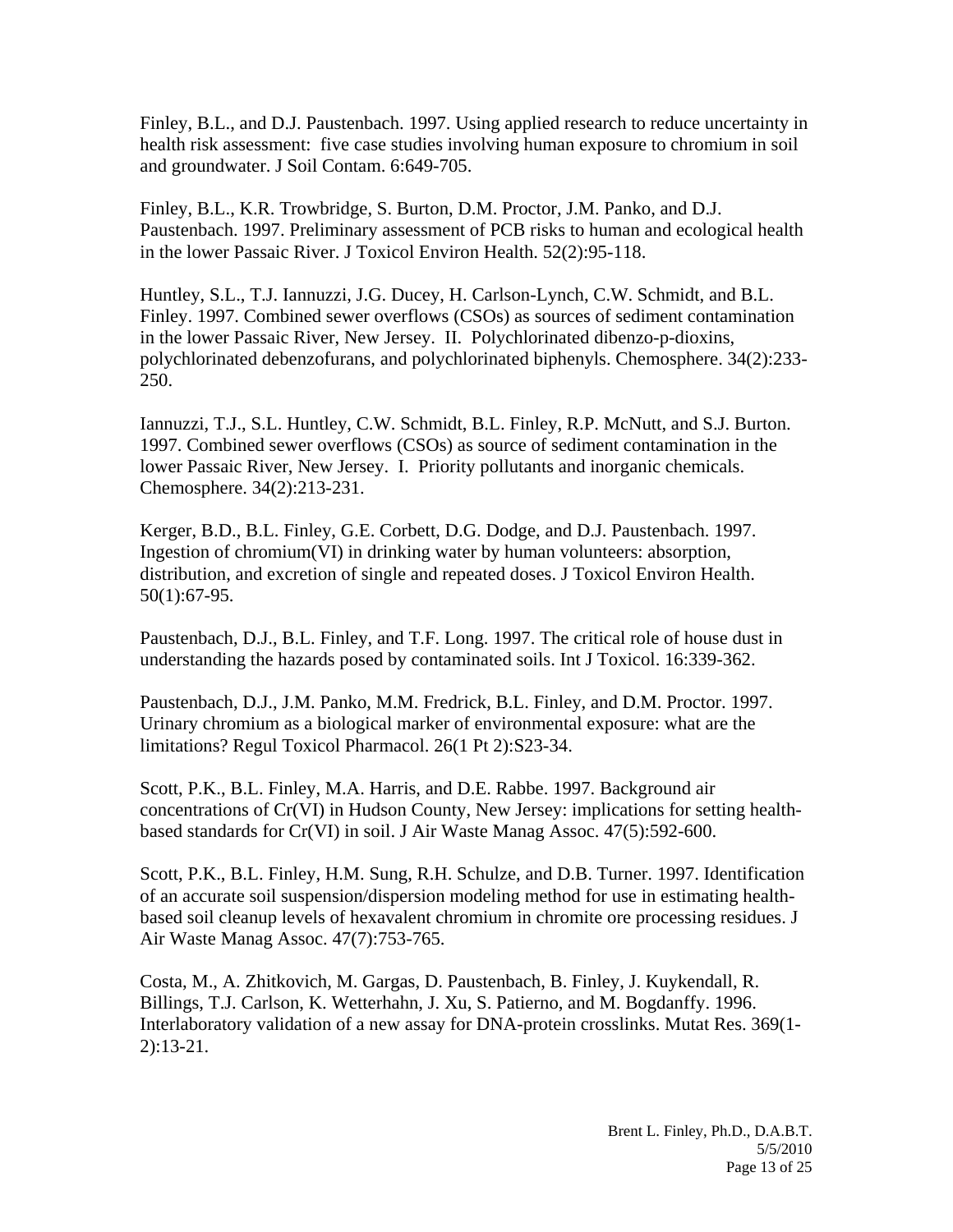Finley, B.L., and D.J. Paustenbach. 1997. Using applied research to reduce uncertainty in health risk assessment: five case studies involving human exposure to chromium in soil and groundwater. J Soil Contam. 6:649-705.

Finley, B.L., K.R. Trowbridge, S. Burton, D.M. Proctor, J.M. Panko, and D.J. Paustenbach. 1997. Preliminary assessment of PCB risks to human and ecological health in the lower Passaic River. J Toxicol Environ Health. 52(2):95-118.

Huntley, S.L., T.J. Iannuzzi, J.G. Ducey, H. Carlson-Lynch, C.W. Schmidt, and B.L. Finley. 1997. Combined sewer overflows (CSOs) as sources of sediment contamination in the lower Passaic River, New Jersey. II. Polychlorinated dibenzo-p-dioxins, polychlorinated debenzofurans, and polychlorinated biphenyls. Chemosphere. 34(2):233- 250.

Iannuzzi, T.J., S.L. Huntley, C.W. Schmidt, B.L. Finley, R.P. McNutt, and S.J. Burton. 1997. Combined sewer overflows (CSOs) as source of sediment contamination in the lower Passaic River, New Jersey. I. Priority pollutants and inorganic chemicals. Chemosphere. 34(2):213-231.

Kerger, B.D., B.L. Finley, G.E. Corbett, D.G. Dodge, and D.J. Paustenbach. 1997. Ingestion of chromium(VI) in drinking water by human volunteers: absorption, distribution, and excretion of single and repeated doses. J Toxicol Environ Health. 50(1):67-95.

Paustenbach, D.J., B.L. Finley, and T.F. Long. 1997. The critical role of house dust in understanding the hazards posed by contaminated soils. Int J Toxicol. 16:339-362.

Paustenbach, D.J., J.M. Panko, M.M. Fredrick, B.L. Finley, and D.M. Proctor. 1997. Urinary chromium as a biological marker of environmental exposure: what are the limitations? Regul Toxicol Pharmacol. 26(1 Pt 2):S23-34.

Scott, P.K., B.L. Finley, M.A. Harris, and D.E. Rabbe. 1997. Background air concentrations of Cr(VI) in Hudson County, New Jersey: implications for setting healthbased standards for Cr(VI) in soil. J Air Waste Manag Assoc. 47(5):592-600.

Scott, P.K., B.L. Finley, H.M. Sung, R.H. Schulze, and D.B. Turner. 1997. Identification of an accurate soil suspension/dispersion modeling method for use in estimating healthbased soil cleanup levels of hexavalent chromium in chromite ore processing residues. J Air Waste Manag Assoc. 47(7):753-765.

Costa, M., A. Zhitkovich, M. Gargas, D. Paustenbach, B. Finley, J. Kuykendall, R. Billings, T.J. Carlson, K. Wetterhahn, J. Xu, S. Patierno, and M. Bogdanffy. 1996. Interlaboratory validation of a new assay for DNA-protein crosslinks. Mutat Res. 369(1- 2):13-21.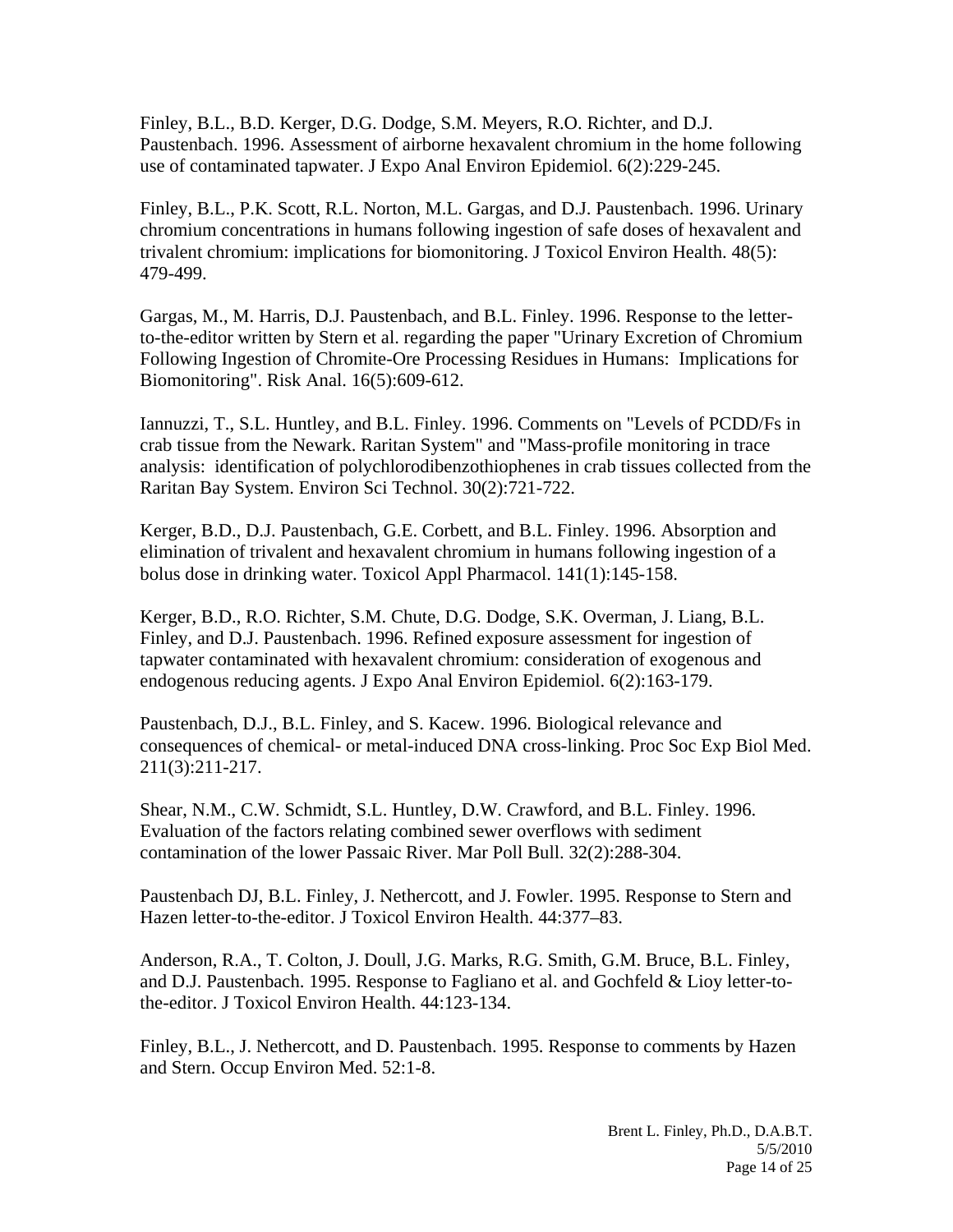Finley, B.L., B.D. Kerger, D.G. Dodge, S.M. Meyers, R.O. Richter, and D.J. Paustenbach. 1996. Assessment of airborne hexavalent chromium in the home following use of contaminated tapwater. J Expo Anal Environ Epidemiol. 6(2):229-245.

Finley, B.L., P.K. Scott, R.L. Norton, M.L. Gargas, and D.J. Paustenbach. 1996. Urinary chromium concentrations in humans following ingestion of safe doses of hexavalent and trivalent chromium: implications for biomonitoring. J Toxicol Environ Health. 48(5): 479-499.

Gargas, M., M. Harris, D.J. Paustenbach, and B.L. Finley. 1996. Response to the letterto-the-editor written by Stern et al. regarding the paper "Urinary Excretion of Chromium Following Ingestion of Chromite-Ore Processing Residues in Humans: Implications for Biomonitoring". Risk Anal. 16(5):609-612.

Iannuzzi, T., S.L. Huntley, and B.L. Finley. 1996. Comments on "Levels of PCDD/Fs in crab tissue from the Newark. Raritan System" and "Mass-profile monitoring in trace analysis: identification of polychlorodibenzothiophenes in crab tissues collected from the Raritan Bay System. Environ Sci Technol. 30(2):721-722.

Kerger, B.D., D.J. Paustenbach, G.E. Corbett, and B.L. Finley. 1996. Absorption and elimination of trivalent and hexavalent chromium in humans following ingestion of a bolus dose in drinking water. Toxicol Appl Pharmacol. 141(1):145-158.

Kerger, B.D., R.O. Richter, S.M. Chute, D.G. Dodge, S.K. Overman, J. Liang, B.L. Finley, and D.J. Paustenbach. 1996. Refined exposure assessment for ingestion of tapwater contaminated with hexavalent chromium: consideration of exogenous and endogenous reducing agents. J Expo Anal Environ Epidemiol. 6(2):163-179.

Paustenbach, D.J., B.L. Finley, and S. Kacew. 1996. Biological relevance and consequences of chemical- or metal-induced DNA cross-linking. Proc Soc Exp Biol Med. 211(3):211-217.

Shear, N.M., C.W. Schmidt, S.L. Huntley, D.W. Crawford, and B.L. Finley. 1996. Evaluation of the factors relating combined sewer overflows with sediment contamination of the lower Passaic River. Mar Poll Bull. 32(2):288-304.

Paustenbach DJ, B.L. Finley, J. Nethercott, and J. Fowler. 1995. Response to Stern and Hazen letter-to-the-editor. J Toxicol Environ Health. 44:377–83.

Anderson, R.A., T. Colton, J. Doull, J.G. Marks, R.G. Smith, G.M. Bruce, B.L. Finley, and D.J. Paustenbach. 1995. Response to Fagliano et al. and Gochfeld & Lioy letter-tothe-editor. J Toxicol Environ Health. 44:123-134.

Finley, B.L., J. Nethercott, and D. Paustenbach. 1995. Response to comments by Hazen and Stern. Occup Environ Med. 52:1-8.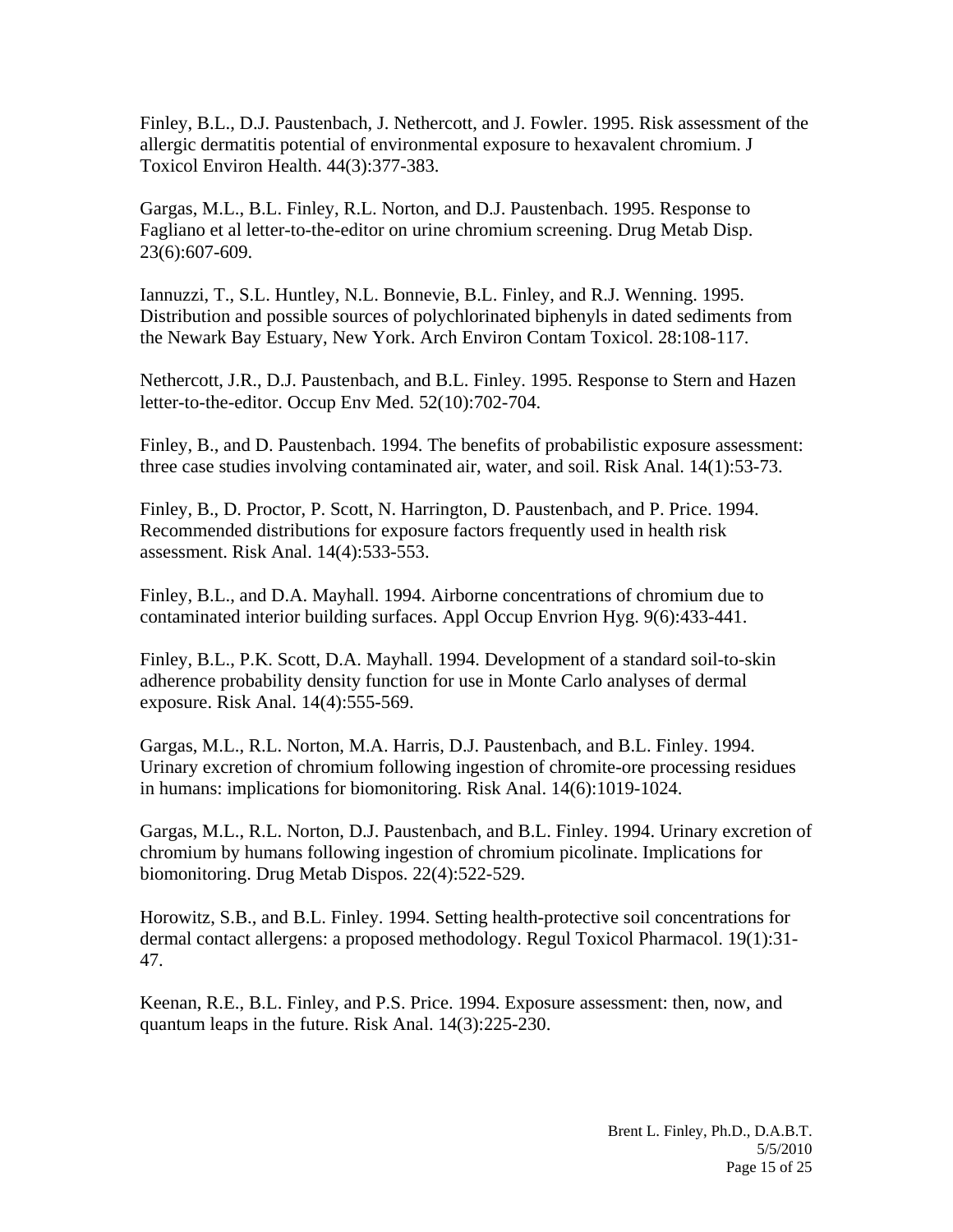Finley, B.L., D.J. Paustenbach, J. Nethercott, and J. Fowler. 1995. Risk assessment of the allergic dermatitis potential of environmental exposure to hexavalent chromium. J Toxicol Environ Health. 44(3):377-383.

Gargas, M.L., B.L. Finley, R.L. Norton, and D.J. Paustenbach. 1995. Response to Fagliano et al letter-to-the-editor on urine chromium screening. Drug Metab Disp. 23(6):607-609.

Iannuzzi, T., S.L. Huntley, N.L. Bonnevie, B.L. Finley, and R.J. Wenning. 1995. Distribution and possible sources of polychlorinated biphenyls in dated sediments from the Newark Bay Estuary, New York. Arch Environ Contam Toxicol. 28:108-117.

Nethercott, J.R., D.J. Paustenbach, and B.L. Finley. 1995. Response to Stern and Hazen letter-to-the-editor. Occup Env Med. 52(10):702-704.

Finley, B., and D. Paustenbach. 1994. The benefits of probabilistic exposure assessment: three case studies involving contaminated air, water, and soil. Risk Anal. 14(1):53-73.

Finley, B., D. Proctor, P. Scott, N. Harrington, D. Paustenbach, and P. Price. 1994. Recommended distributions for exposure factors frequently used in health risk assessment. Risk Anal. 14(4):533-553.

Finley, B.L., and D.A. Mayhall. 1994. Airborne concentrations of chromium due to contaminated interior building surfaces. Appl Occup Envrion Hyg. 9(6):433-441.

Finley, B.L., P.K. Scott, D.A. Mayhall. 1994. Development of a standard soil-to-skin adherence probability density function for use in Monte Carlo analyses of dermal exposure. Risk Anal. 14(4):555-569.

Gargas, M.L., R.L. Norton, M.A. Harris, D.J. Paustenbach, and B.L. Finley. 1994. Urinary excretion of chromium following ingestion of chromite-ore processing residues in humans: implications for biomonitoring. Risk Anal. 14(6):1019-1024.

Gargas, M.L., R.L. Norton, D.J. Paustenbach, and B.L. Finley. 1994. Urinary excretion of chromium by humans following ingestion of chromium picolinate. Implications for biomonitoring. Drug Metab Dispos. 22(4):522-529.

Horowitz, S.B., and B.L. Finley. 1994. Setting health-protective soil concentrations for dermal contact allergens: a proposed methodology. Regul Toxicol Pharmacol. 19(1):31- 47.

Keenan, R.E., B.L. Finley, and P.S. Price. 1994. Exposure assessment: then, now, and quantum leaps in the future. Risk Anal. 14(3):225-230.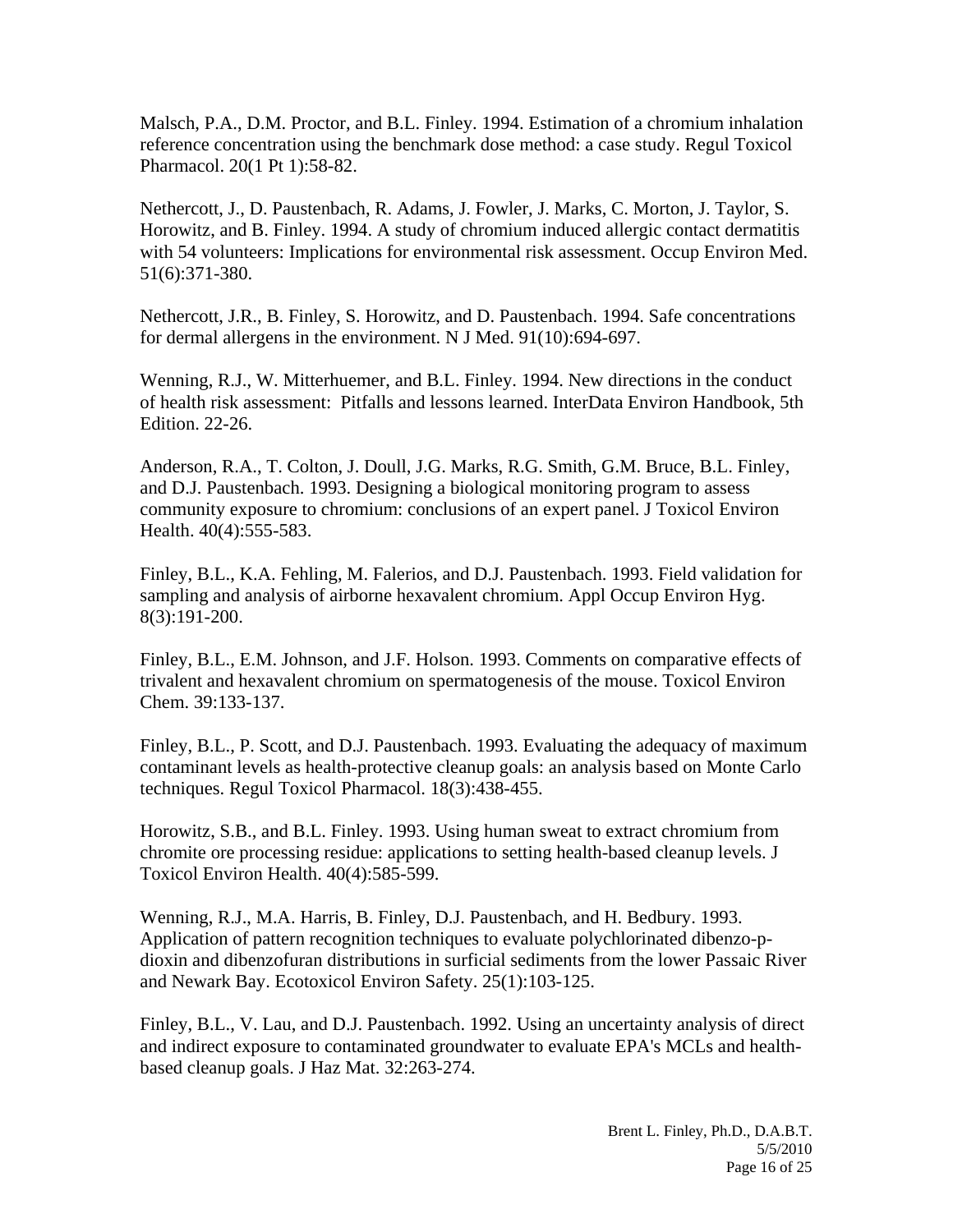Malsch, P.A., D.M. Proctor, and B.L. Finley. 1994. Estimation of a chromium inhalation reference concentration using the benchmark dose method: a case study. Regul Toxicol Pharmacol. 20(1 Pt 1):58-82.

Nethercott, J., D. Paustenbach, R. Adams, J. Fowler, J. Marks, C. Morton, J. Taylor, S. Horowitz, and B. Finley. 1994. A study of chromium induced allergic contact dermatitis with 54 volunteers: Implications for environmental risk assessment. Occup Environ Med. 51(6):371-380.

Nethercott, J.R., B. Finley, S. Horowitz, and D. Paustenbach. 1994. Safe concentrations for dermal allergens in the environment. N J Med. 91(10):694-697.

Wenning, R.J., W. Mitterhuemer, and B.L. Finley. 1994. New directions in the conduct of health risk assessment: Pitfalls and lessons learned. InterData Environ Handbook, 5th Edition. 22-26.

Anderson, R.A., T. Colton, J. Doull, J.G. Marks, R.G. Smith, G.M. Bruce, B.L. Finley, and D.J. Paustenbach. 1993. Designing a biological monitoring program to assess community exposure to chromium: conclusions of an expert panel. J Toxicol Environ Health. 40(4):555-583.

Finley, B.L., K.A. Fehling, M. Falerios, and D.J. Paustenbach. 1993. Field validation for sampling and analysis of airborne hexavalent chromium. Appl Occup Environ Hyg. 8(3):191-200.

Finley, B.L., E.M. Johnson, and J.F. Holson. 1993. Comments on comparative effects of trivalent and hexavalent chromium on spermatogenesis of the mouse. Toxicol Environ Chem. 39:133-137.

Finley, B.L., P. Scott, and D.J. Paustenbach. 1993. Evaluating the adequacy of maximum contaminant levels as health-protective cleanup goals: an analysis based on Monte Carlo techniques. Regul Toxicol Pharmacol. 18(3):438-455.

Horowitz, S.B., and B.L. Finley. 1993. Using human sweat to extract chromium from chromite ore processing residue: applications to setting health-based cleanup levels. J Toxicol Environ Health. 40(4):585-599.

Wenning, R.J., M.A. Harris, B. Finley, D.J. Paustenbach, and H. Bedbury. 1993. Application of pattern recognition techniques to evaluate polychlorinated dibenzo-pdioxin and dibenzofuran distributions in surficial sediments from the lower Passaic River and Newark Bay. Ecotoxicol Environ Safety. 25(1):103-125.

Finley, B.L., V. Lau, and D.J. Paustenbach. 1992. Using an uncertainty analysis of direct and indirect exposure to contaminated groundwater to evaluate EPA's MCLs and healthbased cleanup goals. J Haz Mat. 32:263-274.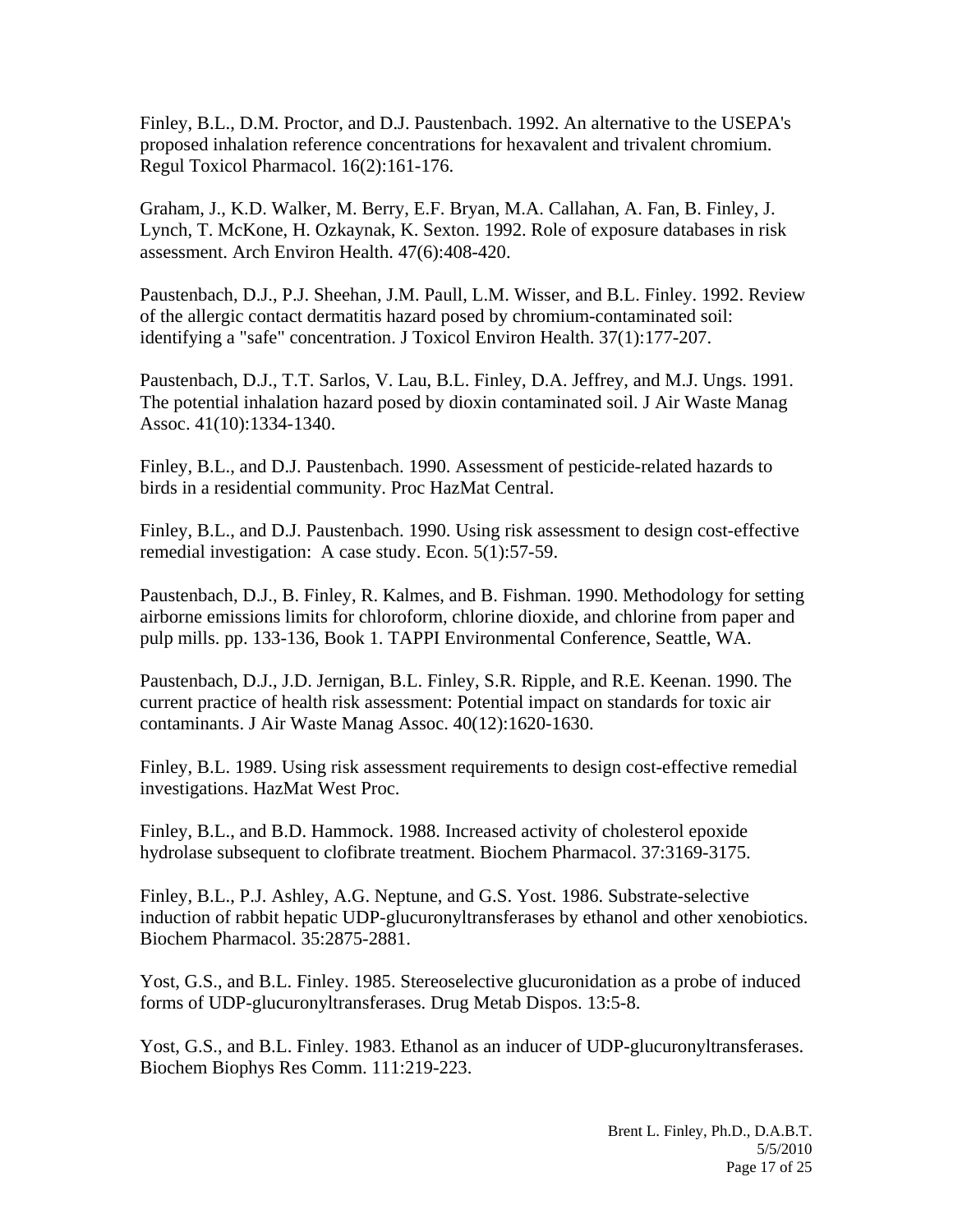Finley, B.L., D.M. Proctor, and D.J. Paustenbach. 1992. An alternative to the USEPA's proposed inhalation reference concentrations for hexavalent and trivalent chromium. Regul Toxicol Pharmacol. 16(2):161-176.

Graham, J., K.D. Walker, M. Berry, E.F. Bryan, M.A. Callahan, A. Fan, B. Finley, J. Lynch, T. McKone, H. Ozkaynak, K. Sexton. 1992. Role of exposure databases in risk assessment. Arch Environ Health. 47(6):408-420.

Paustenbach, D.J., P.J. Sheehan, J.M. Paull, L.M. Wisser, and B.L. Finley. 1992. Review of the allergic contact dermatitis hazard posed by chromium-contaminated soil: identifying a "safe" concentration. J Toxicol Environ Health. 37(1):177-207.

Paustenbach, D.J., T.T. Sarlos, V. Lau, B.L. Finley, D.A. Jeffrey, and M.J. Ungs. 1991. The potential inhalation hazard posed by dioxin contaminated soil. J Air Waste Manag Assoc. 41(10):1334-1340.

Finley, B.L., and D.J. Paustenbach. 1990. Assessment of pesticide-related hazards to birds in a residential community. Proc HazMat Central.

Finley, B.L., and D.J. Paustenbach. 1990. Using risk assessment to design cost-effective remedial investigation: A case study. Econ. 5(1):57-59.

Paustenbach, D.J., B. Finley, R. Kalmes, and B. Fishman. 1990. Methodology for setting airborne emissions limits for chloroform, chlorine dioxide, and chlorine from paper and pulp mills. pp. 133-136, Book 1. TAPPI Environmental Conference, Seattle, WA.

Paustenbach, D.J., J.D. Jernigan, B.L. Finley, S.R. Ripple, and R.E. Keenan. 1990. The current practice of health risk assessment: Potential impact on standards for toxic air contaminants. J Air Waste Manag Assoc. 40(12):1620-1630.

Finley, B.L. 1989. Using risk assessment requirements to design cost-effective remedial investigations. HazMat West Proc.

Finley, B.L., and B.D. Hammock. 1988. Increased activity of cholesterol epoxide hydrolase subsequent to clofibrate treatment. Biochem Pharmacol. 37:3169-3175.

Finley, B.L., P.J. Ashley, A.G. Neptune, and G.S. Yost. 1986. Substrate-selective induction of rabbit hepatic UDP-glucuronyltransferases by ethanol and other xenobiotics. Biochem Pharmacol. 35:2875-2881.

Yost, G.S., and B.L. Finley. 1985. Stereoselective glucuronidation as a probe of induced forms of UDP-glucuronyltransferases. Drug Metab Dispos. 13:5-8.

Yost, G.S., and B.L. Finley. 1983. Ethanol as an inducer of UDP-glucuronyltransferases. Biochem Biophys Res Comm. 111:219-223.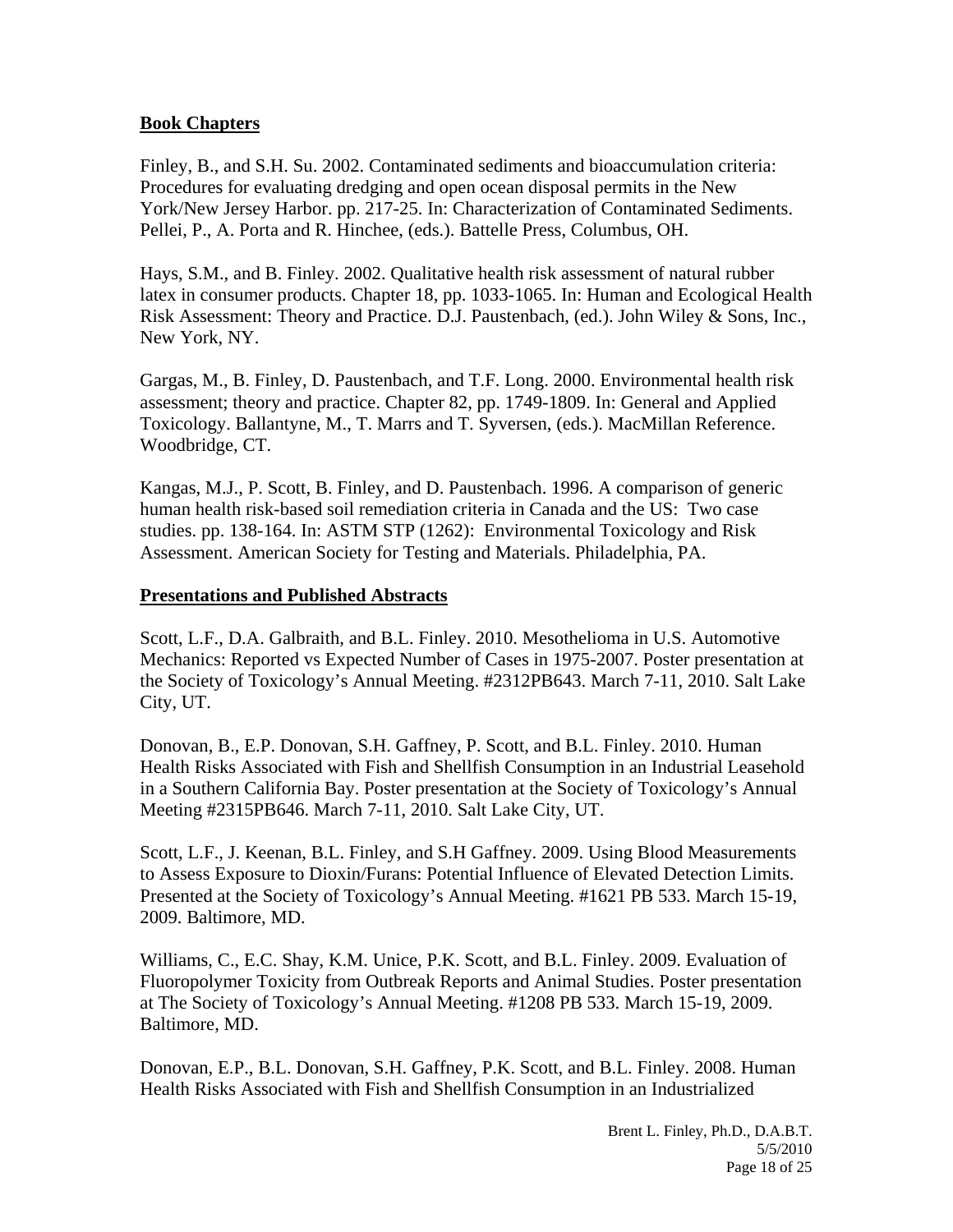### **Book Chapters**

Finley, B., and S.H. Su. 2002. Contaminated sediments and bioaccumulation criteria: Procedures for evaluating dredging and open ocean disposal permits in the New York/New Jersey Harbor. pp. 217-25. In: Characterization of Contaminated Sediments. Pellei, P., A. Porta and R. Hinchee, (eds.). Battelle Press, Columbus, OH.

Hays, S.M., and B. Finley. 2002. Qualitative health risk assessment of natural rubber latex in consumer products. Chapter 18, pp. 1033-1065. In: Human and Ecological Health Risk Assessment: Theory and Practice. D.J. Paustenbach, (ed.). John Wiley & Sons, Inc., New York, NY.

Gargas, M., B. Finley, D. Paustenbach, and T.F. Long. 2000. Environmental health risk assessment; theory and practice. Chapter 82, pp. 1749-1809. In: General and Applied Toxicology. Ballantyne, M., T. Marrs and T. Syversen, (eds.). MacMillan Reference. Woodbridge, CT.

Kangas, M.J., P. Scott, B. Finley, and D. Paustenbach. 1996. A comparison of generic human health risk-based soil remediation criteria in Canada and the US: Two case studies. pp. 138-164. In: ASTM STP (1262): Environmental Toxicology and Risk Assessment. American Society for Testing and Materials. Philadelphia, PA.

#### **Presentations and Published Abstracts**

Scott, L.F., D.A. Galbraith, and B.L. Finley. 2010. Mesothelioma in U.S. Automotive Mechanics: Reported vs Expected Number of Cases in 1975-2007. Poster presentation at the Society of Toxicology's Annual Meeting. #2312PB643. March 7-11, 2010. Salt Lake City, UT.

Donovan, B., E.P. Donovan, S.H. Gaffney, P. Scott, and B.L. Finley. 2010. Human Health Risks Associated with Fish and Shellfish Consumption in an Industrial Leasehold in a Southern California Bay. Poster presentation at the Society of Toxicology's Annual Meeting #2315PB646. March 7-11, 2010. Salt Lake City, UT.

Scott, L.F., J. Keenan, B.L. Finley, and S.H Gaffney. 2009. Using Blood Measurements to Assess Exposure to Dioxin/Furans: Potential Influence of Elevated Detection Limits. Presented at the Society of Toxicology's Annual Meeting. #1621 PB 533. March 15-19, 2009. Baltimore, MD.

Williams, C., E.C. Shay, K.M. Unice, P.K. Scott, and B.L. Finley. 2009. Evaluation of Fluoropolymer Toxicity from Outbreak Reports and Animal Studies. Poster presentation at The Society of Toxicology's Annual Meeting. #1208 PB 533. March 15-19, 2009. Baltimore, MD.

Donovan, E.P., B.L. Donovan, S.H. Gaffney, P.K. Scott, and B.L. Finley. 2008. Human Health Risks Associated with Fish and Shellfish Consumption in an Industrialized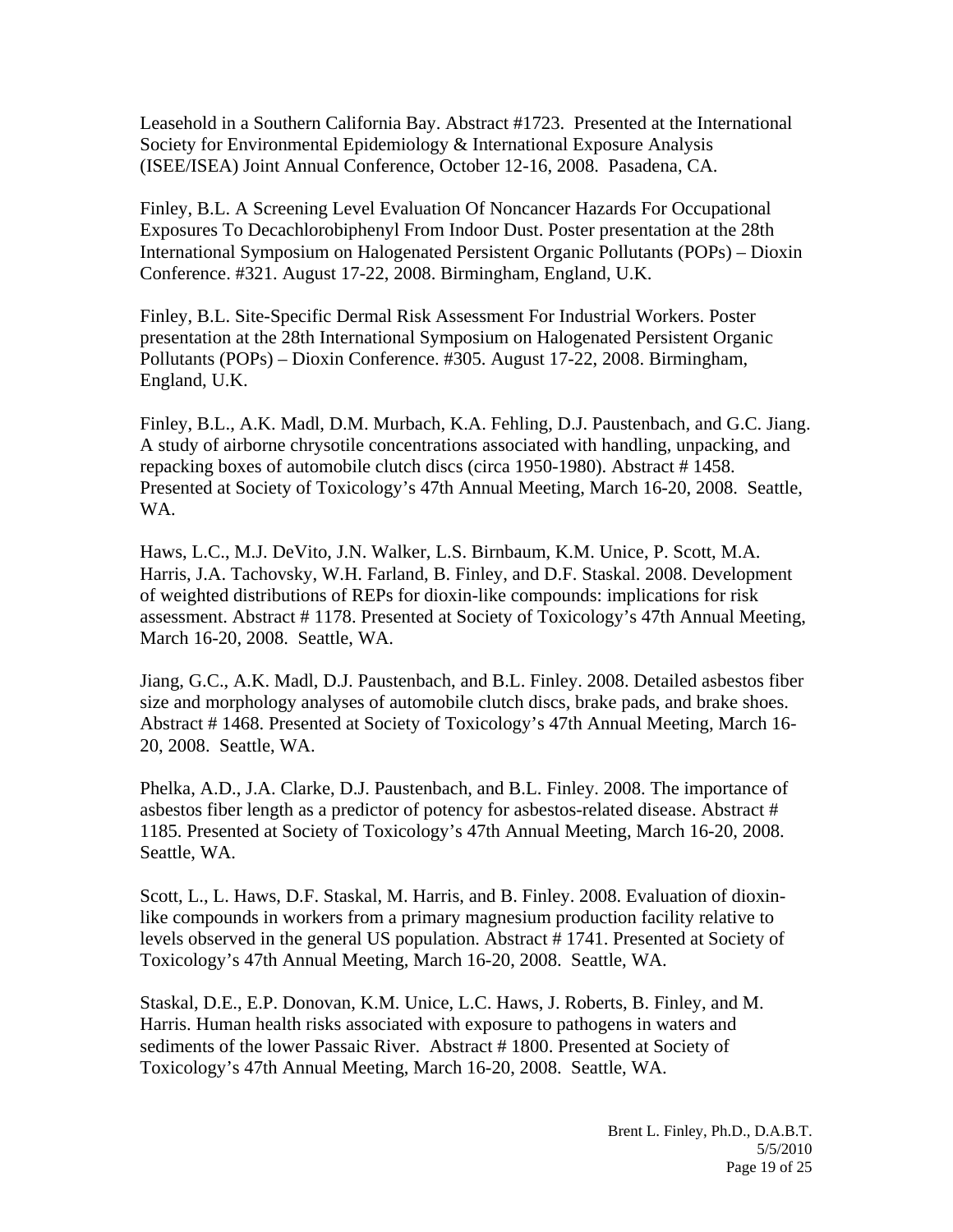Leasehold in a Southern California Bay. Abstract #1723. Presented at the International Society for Environmental Epidemiology & International Exposure Analysis (ISEE/ISEA) Joint Annual Conference, October 12-16, 2008. Pasadena, CA.

Finley, B.L. A Screening Level Evaluation Of Noncancer Hazards For Occupational Exposures To Decachlorobiphenyl From Indoor Dust. Poster presentation at the 28th International Symposium on Halogenated Persistent Organic Pollutants (POPs) – Dioxin Conference. #321. August 17-22, 2008. Birmingham, England, U.K.

Finley, B.L. Site-Specific Dermal Risk Assessment For Industrial Workers. Poster presentation at the 28th International Symposium on Halogenated Persistent Organic Pollutants (POPs) – Dioxin Conference. #305. August 17-22, 2008. Birmingham, England, U.K.

Finley, B.L., A.K. Madl, D.M. Murbach, K.A. Fehling, D.J. Paustenbach, and G.C. Jiang. A study of airborne chrysotile concentrations associated with handling, unpacking, and repacking boxes of automobile clutch discs (circa 1950-1980). Abstract # 1458. Presented at Society of Toxicology's 47th Annual Meeting, March 16-20, 2008. Seattle, WA.

Haws, L.C., M.J. DeVito, J.N. Walker, L.S. Birnbaum, K.M. Unice, P. Scott, M.A. Harris, J.A. Tachovsky, W.H. Farland, B. Finley, and D.F. Staskal. 2008. Development of weighted distributions of REPs for dioxin-like compounds: implications for risk assessment. Abstract # 1178. Presented at Society of Toxicology's 47th Annual Meeting, March 16-20, 2008. Seattle, WA.

Jiang, G.C., A.K. Madl, D.J. Paustenbach, and B.L. Finley. 2008. Detailed asbestos fiber size and morphology analyses of automobile clutch discs, brake pads, and brake shoes. Abstract # 1468. Presented at Society of Toxicology's 47th Annual Meeting, March 16- 20, 2008. Seattle, WA.

Phelka, A.D., J.A. Clarke, D.J. Paustenbach, and B.L. Finley. 2008. The importance of asbestos fiber length as a predictor of potency for asbestos-related disease. Abstract # 1185. Presented at Society of Toxicology's 47th Annual Meeting, March 16-20, 2008. Seattle, WA.

Scott, L., L. Haws, D.F. Staskal, M. Harris, and B. Finley. 2008. Evaluation of dioxinlike compounds in workers from a primary magnesium production facility relative to levels observed in the general US population. Abstract # 1741. Presented at Society of Toxicology's 47th Annual Meeting, March 16-20, 2008. Seattle, WA.

Staskal, D.E., E.P. Donovan, K.M. Unice, L.C. Haws, J. Roberts, B. Finley, and M. Harris. Human health risks associated with exposure to pathogens in waters and sediments of the lower Passaic River. Abstract #1800. Presented at Society of Toxicology's 47th Annual Meeting, March 16-20, 2008. Seattle, WA.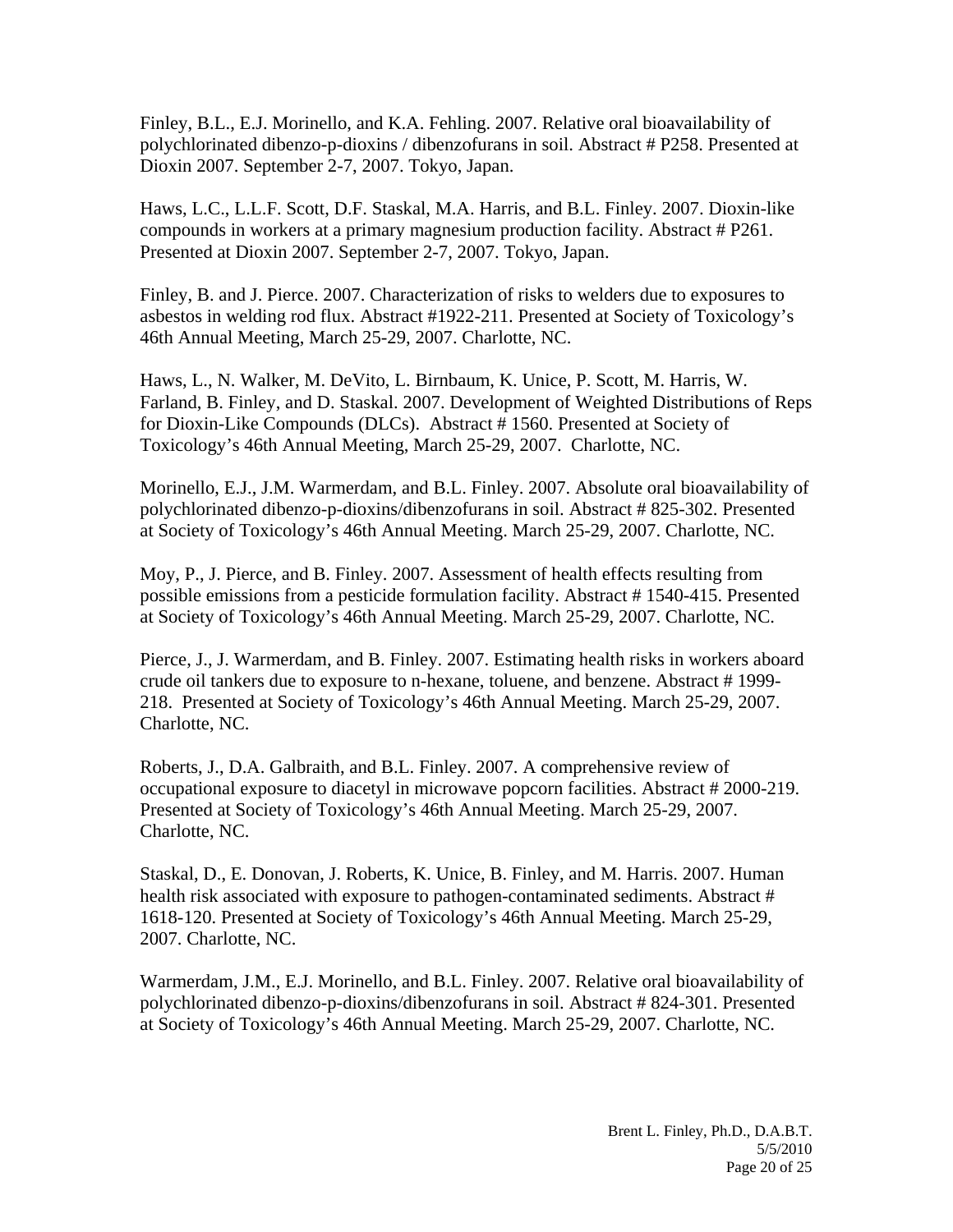Finley, B.L., E.J. Morinello, and K.A. Fehling. 2007. Relative oral bioavailability of polychlorinated dibenzo-p-dioxins / dibenzofurans in soil. Abstract # P258. Presented at Dioxin 2007. September 2-7, 2007. Tokyo, Japan.

Haws, L.C., L.L.F. Scott, D.F. Staskal, M.A. Harris, and B.L. Finley. 2007. Dioxin-like compounds in workers at a primary magnesium production facility. Abstract # P261. Presented at Dioxin 2007. September 2-7, 2007. Tokyo, Japan.

Finley, B. and J. Pierce. 2007. Characterization of risks to welders due to exposures to asbestos in welding rod flux. Abstract #1922-211. Presented at Society of Toxicology's 46th Annual Meeting, March 25-29, 2007. Charlotte, NC.

Haws, L., N. Walker, M. DeVito, L. Birnbaum, K. Unice, P. Scott, M. Harris, W. Farland, B. Finley, and D. Staskal. 2007. Development of Weighted Distributions of Reps for Dioxin-Like Compounds (DLCs). Abstract # 1560. Presented at Society of Toxicology's 46th Annual Meeting, March 25-29, 2007. Charlotte, NC.

Morinello, E.J., J.M. Warmerdam, and B.L. Finley. 2007. Absolute oral bioavailability of polychlorinated dibenzo-p-dioxins/dibenzofurans in soil. Abstract # 825-302. Presented at Society of Toxicology's 46th Annual Meeting. March 25-29, 2007. Charlotte, NC.

Moy, P., J. Pierce, and B. Finley. 2007. Assessment of health effects resulting from possible emissions from a pesticide formulation facility. Abstract # 1540-415. Presented at Society of Toxicology's 46th Annual Meeting. March 25-29, 2007. Charlotte, NC.

Pierce, J., J. Warmerdam, and B. Finley. 2007. Estimating health risks in workers aboard crude oil tankers due to exposure to n-hexane, toluene, and benzene. Abstract # 1999- 218. Presented at Society of Toxicology's 46th Annual Meeting. March 25-29, 2007. Charlotte, NC.

Roberts, J., D.A. Galbraith, and B.L. Finley. 2007. A comprehensive review of occupational exposure to diacetyl in microwave popcorn facilities. Abstract # 2000-219. Presented at Society of Toxicology's 46th Annual Meeting. March 25-29, 2007. Charlotte, NC.

Staskal, D., E. Donovan, J. Roberts, K. Unice, B. Finley, and M. Harris. 2007. Human health risk associated with exposure to pathogen-contaminated sediments. Abstract # 1618-120. Presented at Society of Toxicology's 46th Annual Meeting. March 25-29, 2007. Charlotte, NC.

Warmerdam, J.M., E.J. Morinello, and B.L. Finley. 2007. Relative oral bioavailability of polychlorinated dibenzo-p-dioxins/dibenzofurans in soil. Abstract # 824-301. Presented at Society of Toxicology's 46th Annual Meeting. March 25-29, 2007. Charlotte, NC.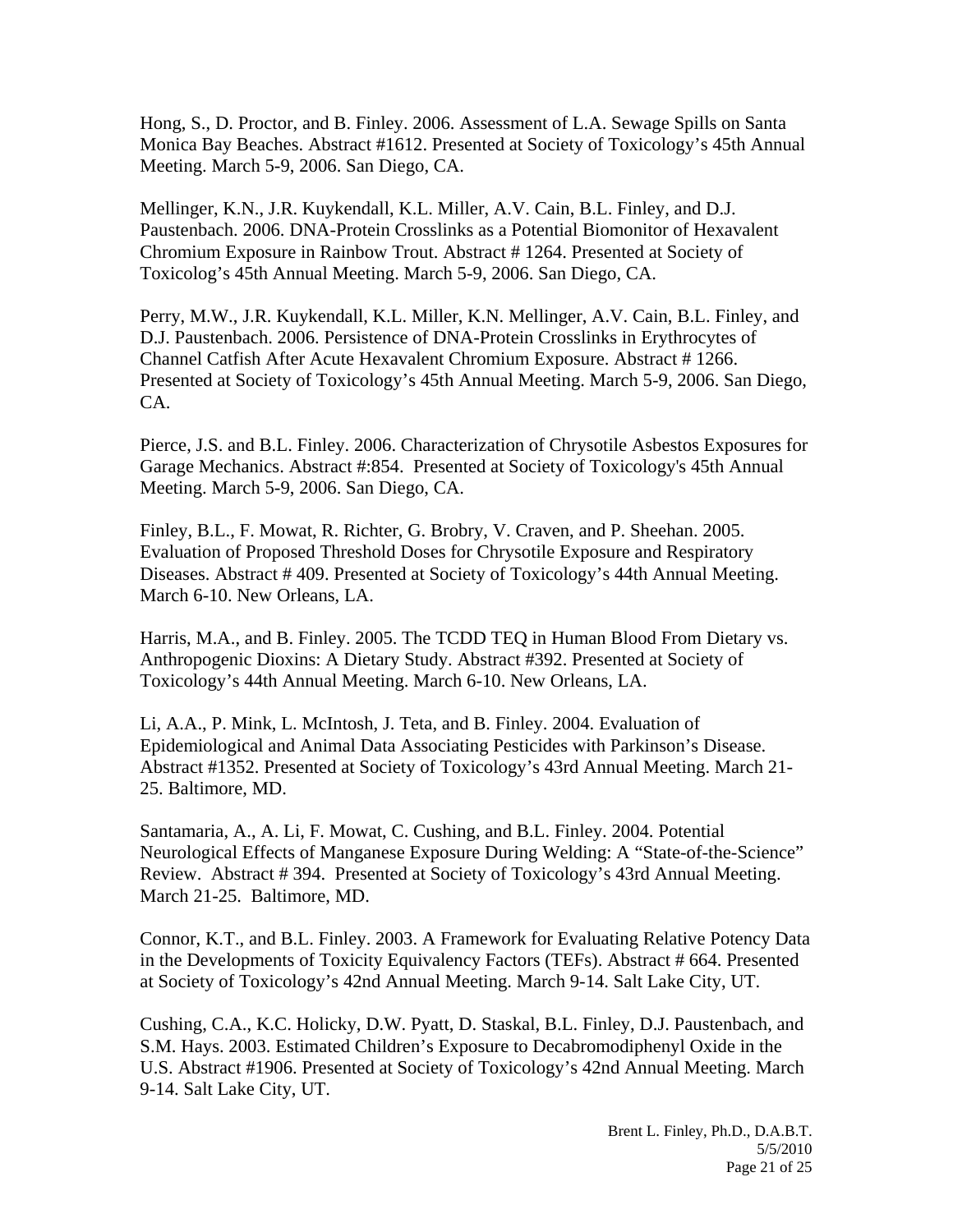Hong, S., D. Proctor, and B. Finley. 2006. Assessment of L.A. Sewage Spills on Santa Monica Bay Beaches. Abstract #1612. Presented at Society of Toxicology's 45th Annual Meeting. March 5-9, 2006. San Diego, CA.

Mellinger, K.N., J.R. Kuykendall, K.L. Miller, A.V. Cain, B.L. Finley, and D.J. Paustenbach. 2006. DNA-Protein Crosslinks as a Potential Biomonitor of Hexavalent Chromium Exposure in Rainbow Trout. Abstract # 1264. Presented at Society of Toxicolog's 45th Annual Meeting. March 5-9, 2006. San Diego, CA.

Perry, M.W., J.R. Kuykendall, K.L. Miller, K.N. Mellinger, A.V. Cain, B.L. Finley, and D.J. Paustenbach. 2006. Persistence of DNA-Protein Crosslinks in Erythrocytes of Channel Catfish After Acute Hexavalent Chromium Exposure. Abstract # 1266. Presented at Society of Toxicology's 45th Annual Meeting. March 5-9, 2006. San Diego, CA.

Pierce, J.S. and B.L. Finley. 2006. Characterization of Chrysotile Asbestos Exposures for Garage Mechanics. Abstract #:854. Presented at Society of Toxicology's 45th Annual Meeting. March 5-9, 2006. San Diego, CA.

Finley, B.L., F. Mowat, R. Richter, G. Brobry, V. Craven, and P. Sheehan. 2005. Evaluation of Proposed Threshold Doses for Chrysotile Exposure and Respiratory Diseases. Abstract # 409. Presented at Society of Toxicology's 44th Annual Meeting. March 6-10. New Orleans, LA.

Harris, M.A., and B. Finley. 2005. The TCDD TEQ in Human Blood From Dietary vs. Anthropogenic Dioxins: A Dietary Study. Abstract #392. Presented at Society of Toxicology's 44th Annual Meeting. March 6-10. New Orleans, LA.

Li, A.A., P. Mink, L. McIntosh, J. Teta, and B. Finley. 2004. Evaluation of Epidemiological and Animal Data Associating Pesticides with Parkinson's Disease. Abstract #1352. Presented at Society of Toxicology's 43rd Annual Meeting. March 21- 25. Baltimore, MD.

Santamaria, A., A. Li, F. Mowat, C. Cushing, and B.L. Finley. 2004. Potential Neurological Effects of Manganese Exposure During Welding: A "State-of-the-Science" Review. Abstract # 394. Presented at Society of Toxicology's 43rd Annual Meeting. March 21-25. Baltimore, MD.

Connor, K.T., and B.L. Finley. 2003. A Framework for Evaluating Relative Potency Data in the Developments of Toxicity Equivalency Factors (TEFs). Abstract # 664. Presented at Society of Toxicology's 42nd Annual Meeting. March 9-14. Salt Lake City, UT.

Cushing, C.A., K.C. Holicky, D.W. Pyatt, D. Staskal, B.L. Finley, D.J. Paustenbach, and S.M. Hays. 2003. Estimated Children's Exposure to Decabromodiphenyl Oxide in the U.S. Abstract #1906. Presented at Society of Toxicology's 42nd Annual Meeting. March 9-14. Salt Lake City, UT.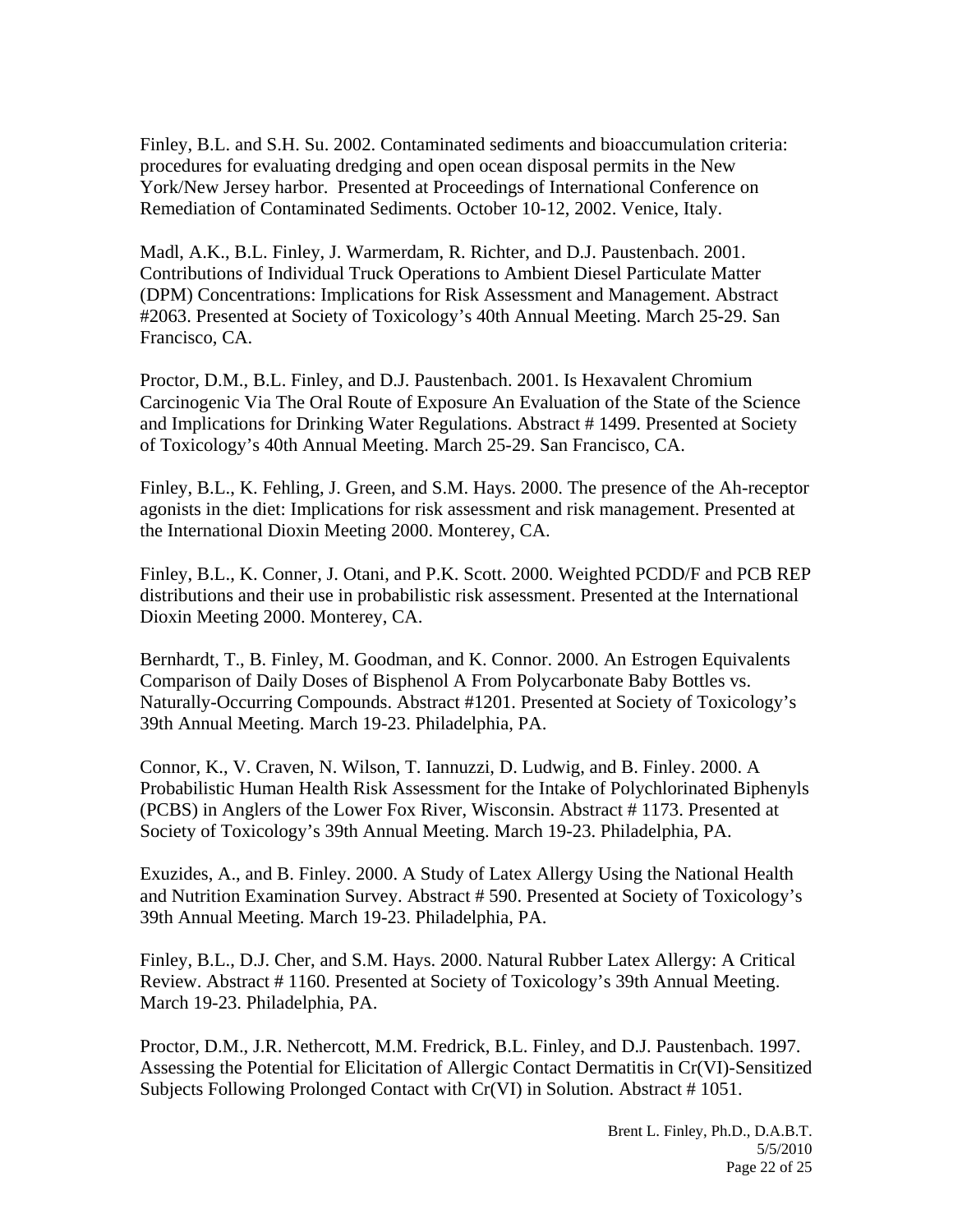Finley, B.L. and S.H. Su. 2002. Contaminated sediments and bioaccumulation criteria: procedures for evaluating dredging and open ocean disposal permits in the New York/New Jersey harbor. Presented at Proceedings of International Conference on Remediation of Contaminated Sediments. October 10-12, 2002. Venice, Italy.

Madl, A.K., B.L. Finley, J. Warmerdam, R. Richter, and D.J. Paustenbach. 2001. Contributions of Individual Truck Operations to Ambient Diesel Particulate Matter (DPM) Concentrations: Implications for Risk Assessment and Management. Abstract #2063. Presented at Society of Toxicology's 40th Annual Meeting. March 25-29. San Francisco, CA.

Proctor, D.M., B.L. Finley, and D.J. Paustenbach. 2001. Is Hexavalent Chromium Carcinogenic Via The Oral Route of Exposure An Evaluation of the State of the Science and Implications for Drinking Water Regulations. Abstract # 1499. Presented at Society of Toxicology's 40th Annual Meeting. March 25-29. San Francisco, CA.

Finley, B.L., K. Fehling, J. Green, and S.M. Hays. 2000. The presence of the Ah-receptor agonists in the diet: Implications for risk assessment and risk management. Presented at the International Dioxin Meeting 2000. Monterey, CA.

Finley, B.L., K. Conner, J. Otani, and P.K. Scott. 2000. Weighted PCDD/F and PCB REP distributions and their use in probabilistic risk assessment. Presented at the International Dioxin Meeting 2000. Monterey, CA.

Bernhardt, T., B. Finley, M. Goodman, and K. Connor. 2000. An Estrogen Equivalents Comparison of Daily Doses of Bisphenol A From Polycarbonate Baby Bottles vs. Naturally-Occurring Compounds. Abstract #1201. Presented at Society of Toxicology's 39th Annual Meeting. March 19-23. Philadelphia, PA.

Connor, K., V. Craven, N. Wilson, T. Iannuzzi, D. Ludwig, and B. Finley. 2000. A Probabilistic Human Health Risk Assessment for the Intake of Polychlorinated Biphenyls (PCBS) in Anglers of the Lower Fox River, Wisconsin. Abstract # 1173. Presented at Society of Toxicology's 39th Annual Meeting. March 19-23. Philadelphia, PA.

Exuzides, A., and B. Finley. 2000. A Study of Latex Allergy Using the National Health and Nutrition Examination Survey. Abstract # 590. Presented at Society of Toxicology's 39th Annual Meeting. March 19-23. Philadelphia, PA.

Finley, B.L., D.J. Cher, and S.M. Hays. 2000. Natural Rubber Latex Allergy: A Critical Review. Abstract # 1160. Presented at Society of Toxicology's 39th Annual Meeting. March 19-23. Philadelphia, PA.

Proctor, D.M., J.R. Nethercott, M.M. Fredrick, B.L. Finley, and D.J. Paustenbach. 1997. Assessing the Potential for Elicitation of Allergic Contact Dermatitis in Cr(VI)-Sensitized Subjects Following Prolonged Contact with Cr(VI) in Solution. Abstract # 1051.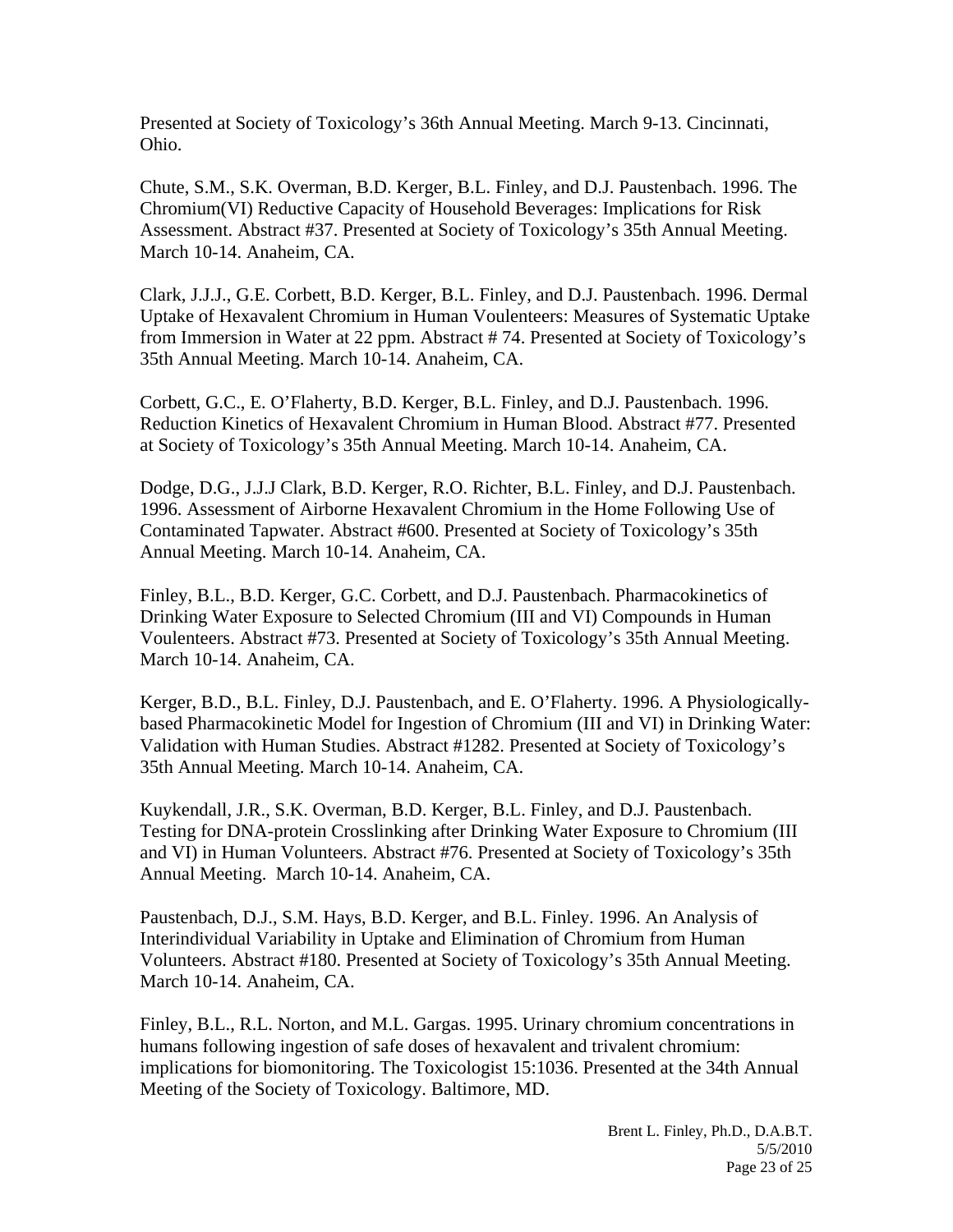Presented at Society of Toxicology's 36th Annual Meeting. March 9-13. Cincinnati, Ohio.

Chute, S.M., S.K. Overman, B.D. Kerger, B.L. Finley, and D.J. Paustenbach. 1996. The Chromium(VI) Reductive Capacity of Household Beverages: Implications for Risk Assessment. Abstract #37. Presented at Society of Toxicology's 35th Annual Meeting. March 10-14. Anaheim, CA.

Clark, J.J.J., G.E. Corbett, B.D. Kerger, B.L. Finley, and D.J. Paustenbach. 1996. Dermal Uptake of Hexavalent Chromium in Human Voulenteers: Measures of Systematic Uptake from Immersion in Water at 22 ppm. Abstract # 74. Presented at Society of Toxicology's 35th Annual Meeting. March 10-14. Anaheim, CA.

Corbett, G.C., E. O'Flaherty, B.D. Kerger, B.L. Finley, and D.J. Paustenbach. 1996. Reduction Kinetics of Hexavalent Chromium in Human Blood. Abstract #77. Presented at Society of Toxicology's 35th Annual Meeting. March 10-14. Anaheim, CA.

Dodge, D.G., J.J.J Clark, B.D. Kerger, R.O. Richter, B.L. Finley, and D.J. Paustenbach. 1996. Assessment of Airborne Hexavalent Chromium in the Home Following Use of Contaminated Tapwater. Abstract #600. Presented at Society of Toxicology's 35th Annual Meeting. March 10-14. Anaheim, CA.

Finley, B.L., B.D. Kerger, G.C. Corbett, and D.J. Paustenbach. Pharmacokinetics of Drinking Water Exposure to Selected Chromium (III and VI) Compounds in Human Voulenteers. Abstract #73. Presented at Society of Toxicology's 35th Annual Meeting. March 10-14. Anaheim, CA.

Kerger, B.D., B.L. Finley, D.J. Paustenbach, and E. O'Flaherty. 1996. A Physiologicallybased Pharmacokinetic Model for Ingestion of Chromium (III and VI) in Drinking Water: Validation with Human Studies. Abstract #1282. Presented at Society of Toxicology's 35th Annual Meeting. March 10-14. Anaheim, CA.

Kuykendall, J.R., S.K. Overman, B.D. Kerger, B.L. Finley, and D.J. Paustenbach. Testing for DNA-protein Crosslinking after Drinking Water Exposure to Chromium (III and VI) in Human Volunteers. Abstract #76. Presented at Society of Toxicology's 35th Annual Meeting. March 10-14. Anaheim, CA.

Paustenbach, D.J., S.M. Hays, B.D. Kerger, and B.L. Finley. 1996. An Analysis of Interindividual Variability in Uptake and Elimination of Chromium from Human Volunteers. Abstract #180. Presented at Society of Toxicology's 35th Annual Meeting. March 10-14. Anaheim, CA.

Finley, B.L., R.L. Norton, and M.L. Gargas. 1995. Urinary chromium concentrations in humans following ingestion of safe doses of hexavalent and trivalent chromium: implications for biomonitoring. The Toxicologist 15:1036. Presented at the 34th Annual Meeting of the Society of Toxicology. Baltimore, MD.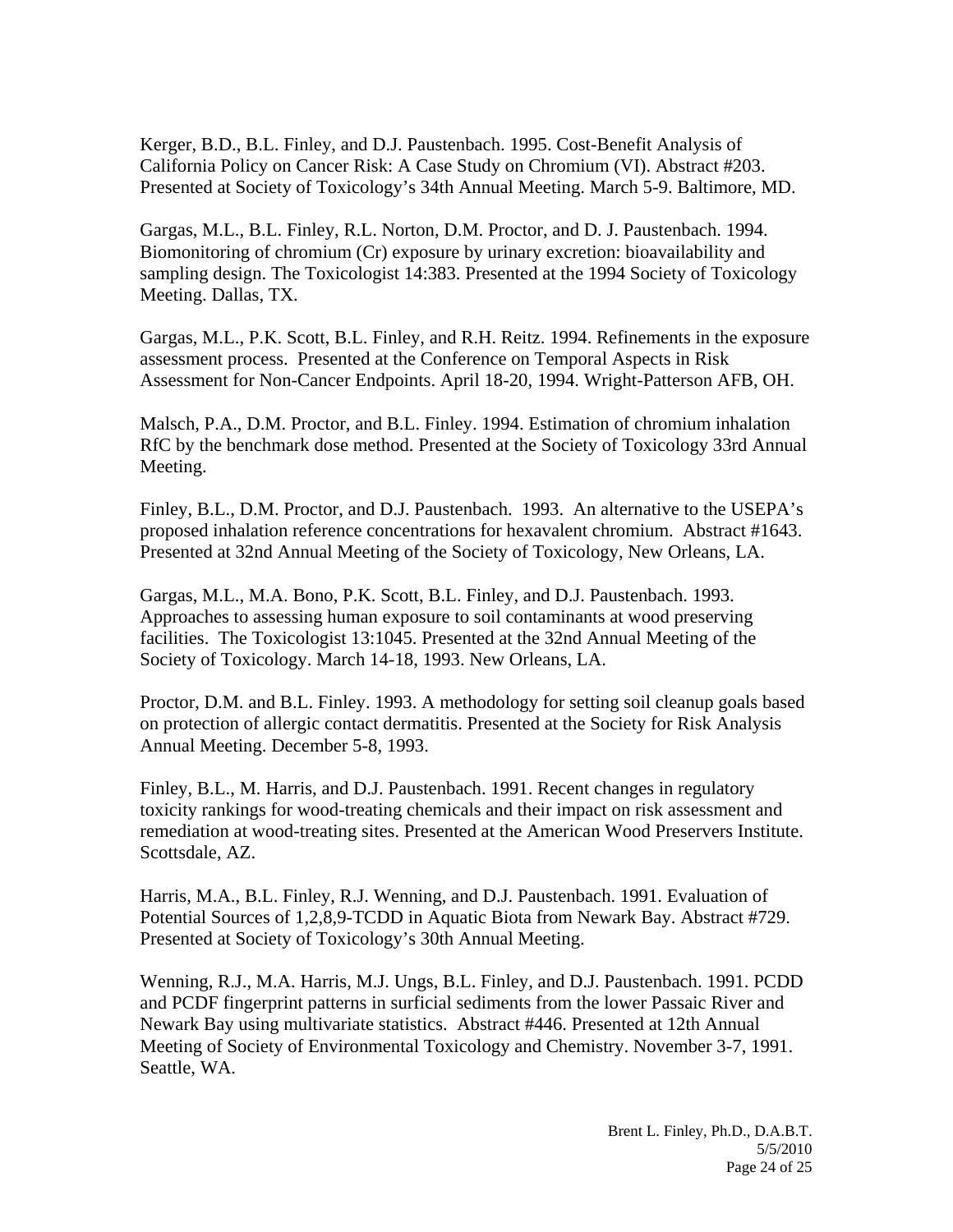Kerger, B.D., B.L. Finley, and D.J. Paustenbach. 1995. Cost-Benefit Analysis of California Policy on Cancer Risk: A Case Study on Chromium (VI). Abstract #203. Presented at Society of Toxicology's 34th Annual Meeting. March 5-9. Baltimore, MD.

Gargas, M.L., B.L. Finley, R.L. Norton, D.M. Proctor, and D. J. Paustenbach. 1994. Biomonitoring of chromium (Cr) exposure by urinary excretion: bioavailability and sampling design. The Toxicologist 14:383. Presented at the 1994 Society of Toxicology Meeting. Dallas, TX.

Gargas, M.L., P.K. Scott, B.L. Finley, and R.H. Reitz. 1994. Refinements in the exposure assessment process. Presented at the Conference on Temporal Aspects in Risk Assessment for Non-Cancer Endpoints. April 18-20, 1994. Wright-Patterson AFB, OH.

Malsch, P.A., D.M. Proctor, and B.L. Finley. 1994. Estimation of chromium inhalation RfC by the benchmark dose method. Presented at the Society of Toxicology 33rd Annual Meeting.

Finley, B.L., D.M. Proctor, and D.J. Paustenbach. 1993. An alternative to the USEPA's proposed inhalation reference concentrations for hexavalent chromium. Abstract #1643. Presented at 32nd Annual Meeting of the Society of Toxicology, New Orleans, LA.

Gargas, M.L., M.A. Bono, P.K. Scott, B.L. Finley, and D.J. Paustenbach. 1993. Approaches to assessing human exposure to soil contaminants at wood preserving facilities. The Toxicologist 13:1045. Presented at the 32nd Annual Meeting of the Society of Toxicology. March 14-18, 1993. New Orleans, LA.

Proctor, D.M. and B.L. Finley. 1993. A methodology for setting soil cleanup goals based on protection of allergic contact dermatitis. Presented at the Society for Risk Analysis Annual Meeting. December 5-8, 1993.

Finley, B.L., M. Harris, and D.J. Paustenbach. 1991. Recent changes in regulatory toxicity rankings for wood-treating chemicals and their impact on risk assessment and remediation at wood-treating sites. Presented at the American Wood Preservers Institute. Scottsdale, AZ.

Harris, M.A., B.L. Finley, R.J. Wenning, and D.J. Paustenbach. 1991. Evaluation of Potential Sources of 1,2,8,9-TCDD in Aquatic Biota from Newark Bay. Abstract #729. Presented at Society of Toxicology's 30th Annual Meeting.

Wenning, R.J., M.A. Harris, M.J. Ungs, B.L. Finley, and D.J. Paustenbach. 1991. PCDD and PCDF fingerprint patterns in surficial sediments from the lower Passaic River and Newark Bay using multivariate statistics. Abstract #446. Presented at 12th Annual Meeting of Society of Environmental Toxicology and Chemistry. November 3-7, 1991. Seattle, WA.